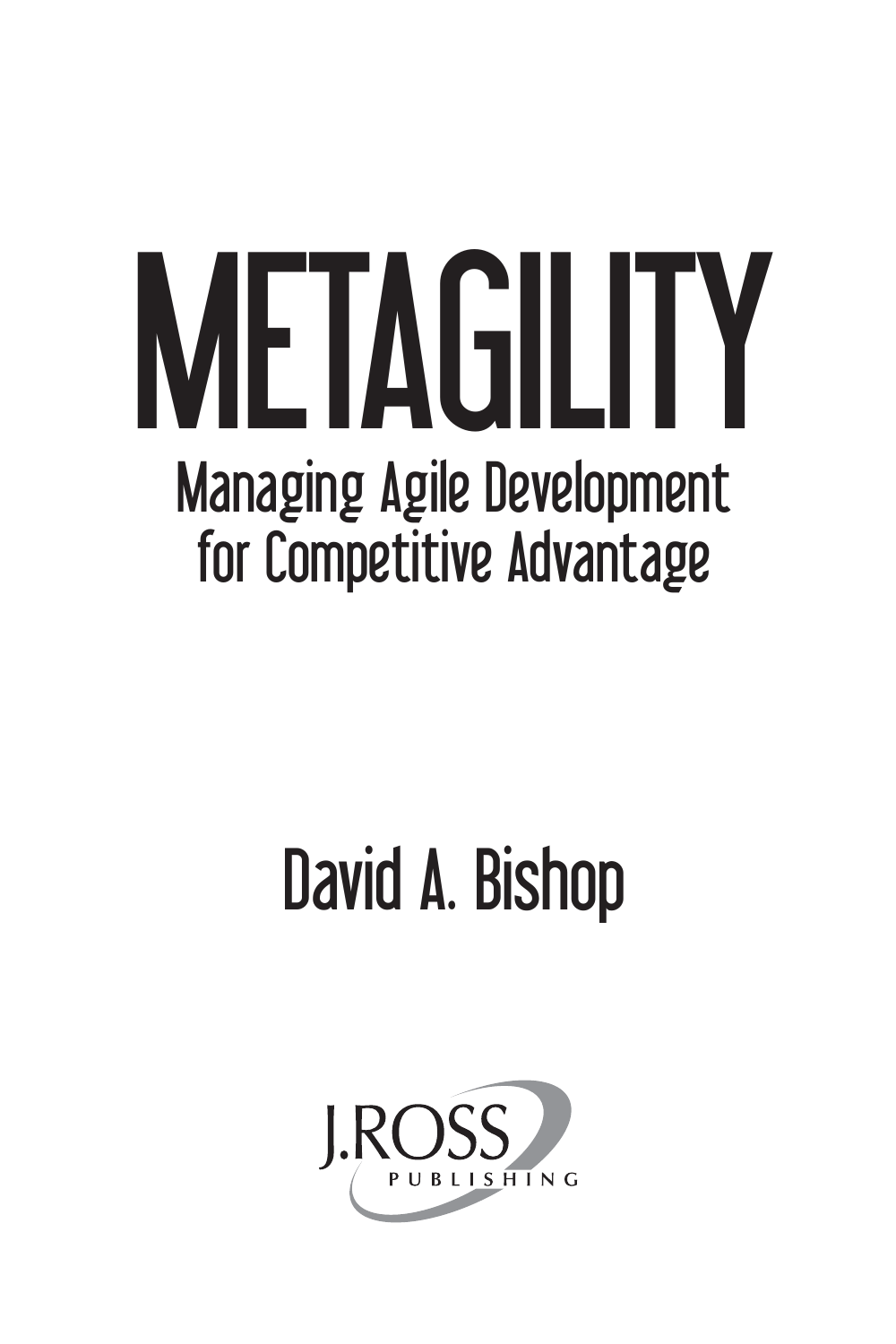# METAGILITY Managing Agile Development for Competitive Advantage

# David A. Bishop

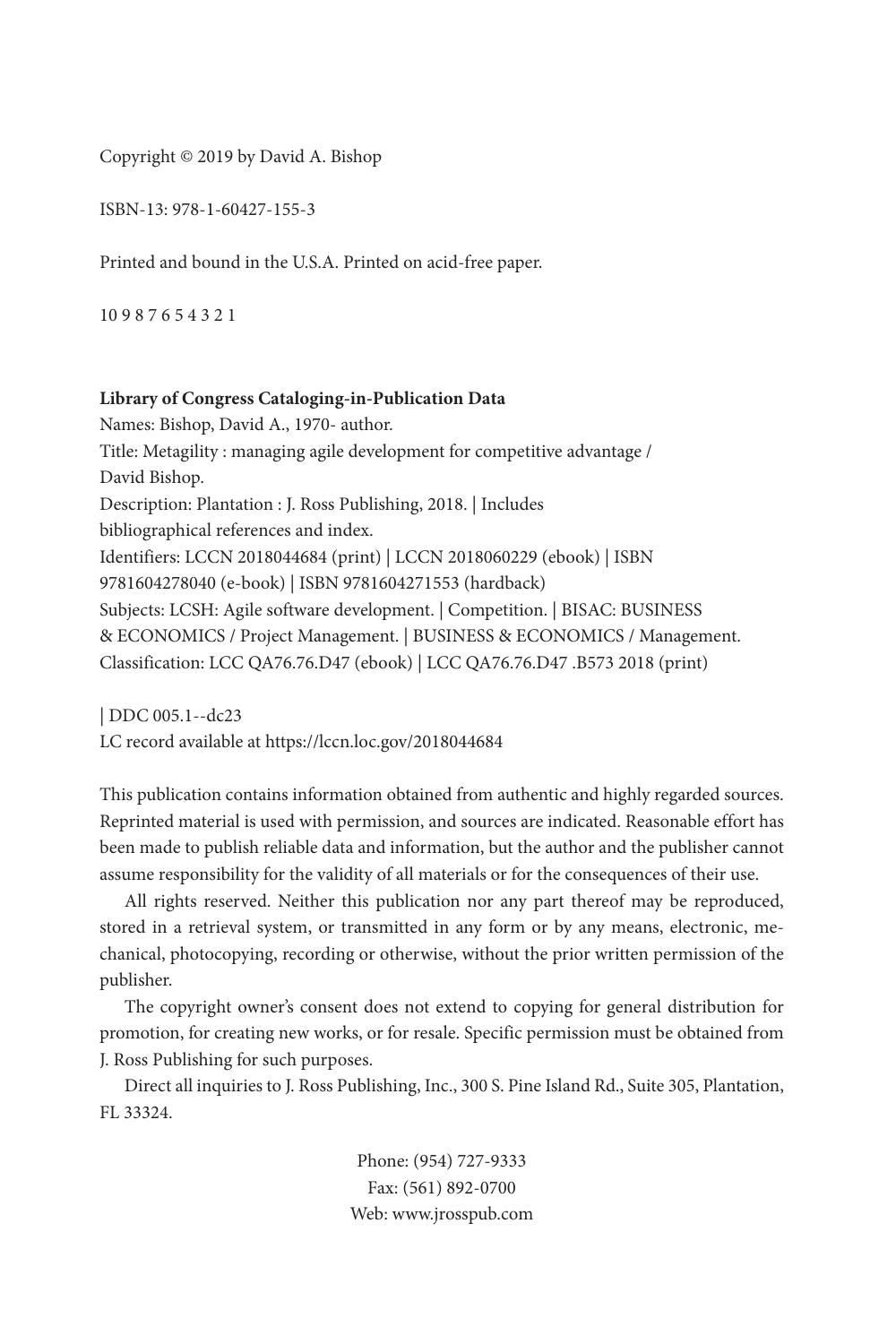Copyright © 2019 by David A. Bishop

ISBN-13: 978-1-60427-155-3

Printed and bound in the U.S.A. Printed on acid-free paper.

10 9 8 7 6 5 4 3 2 1

#### **Library of Congress Cataloging-in-Publication Data**

Names: Bishop, David A., 1970- author. Title: Metagility : managing agile development for competitive advantage / David Bishop. Description: Plantation : J. Ross Publishing, 2018. | Includes bibliographical references and index. Identifiers: LCCN 2018044684 (print) | LCCN 2018060229 (ebook) | ISBN 9781604278040 (e-book) | ISBN 9781604271553 (hardback) Subjects: LCSH: Agile software development. | Competition. | BISAC: BUSINESS & ECONOMICS / Project Management. | BUSINESS & ECONOMICS / Management. Classification: LCC QA76.76.D47 (ebook) | LCC QA76.76.D47 .B573 2018 (print)

| DDC 005.1--dc23 LC record available at https://lccn.loc.gov/2018044684

This publication contains information obtained from authentic and highly regarded sources. Reprinted material is used with permission, and sources are indicated. Reasonable effort has been made to publish reliable data and information, but the author and the publisher cannot assume responsibility for the validity of all materials or for the consequences of their use.

All rights reserved. Neither this publication nor any part thereof may be reproduced, stored in a retrieval system, or transmitted in any form or by any means, electronic, mechanical, photocopying, recording or otherwise, without the prior written permission of the publisher.

The copyright owner's consent does not extend to copying for general distribution for promotion, for creating new works, or for resale. Specific permission must be obtained from J. Ross Publishing for such purposes.

Direct all inquiries to J. Ross Publishing, Inc., 300 S. Pine Island Rd., Suite 305, Plantation, FL 33324.

> Phone: (954) 727-9333 Fax: (561) 892-0700 Web: www.jrosspub.com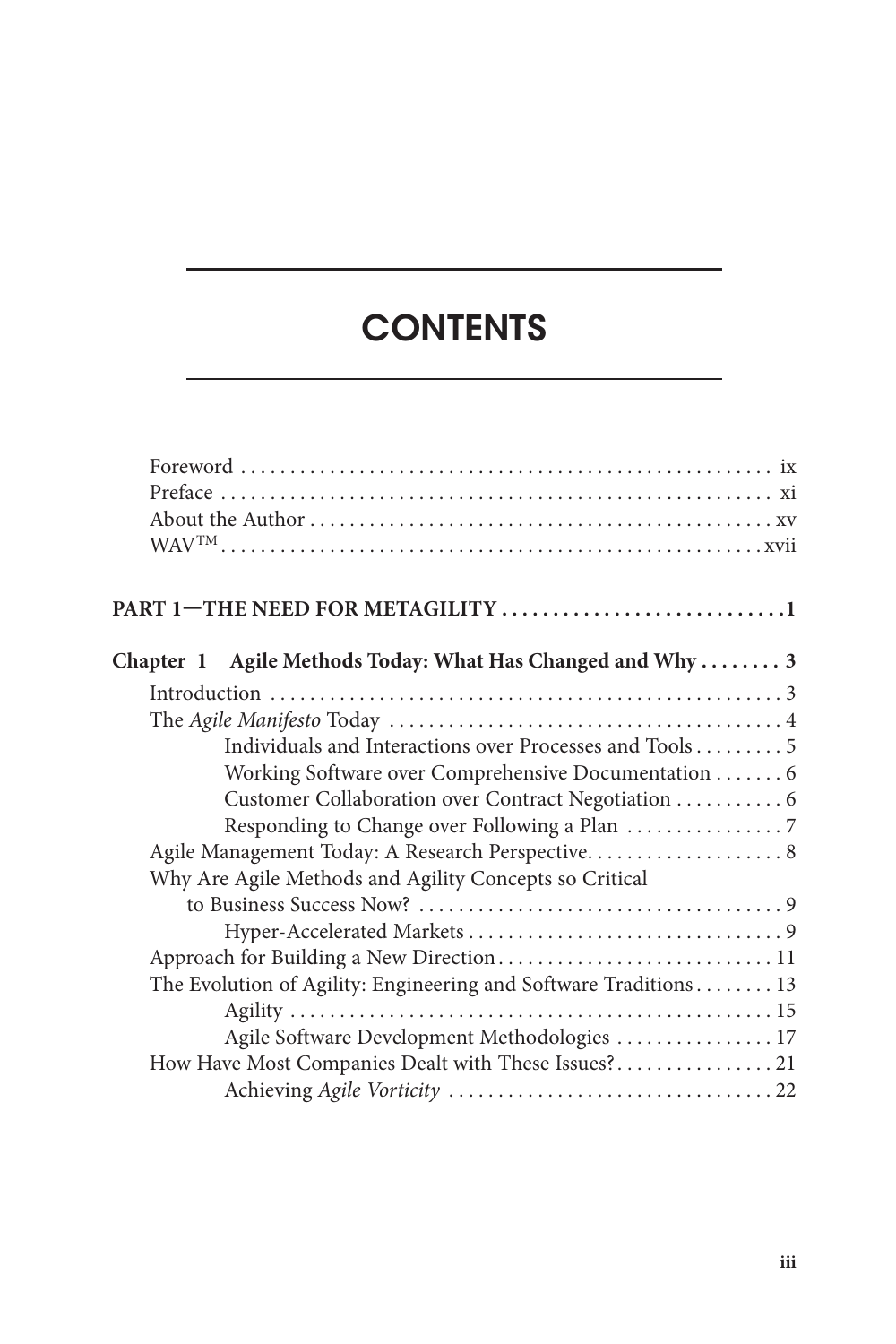# **CONTENTS**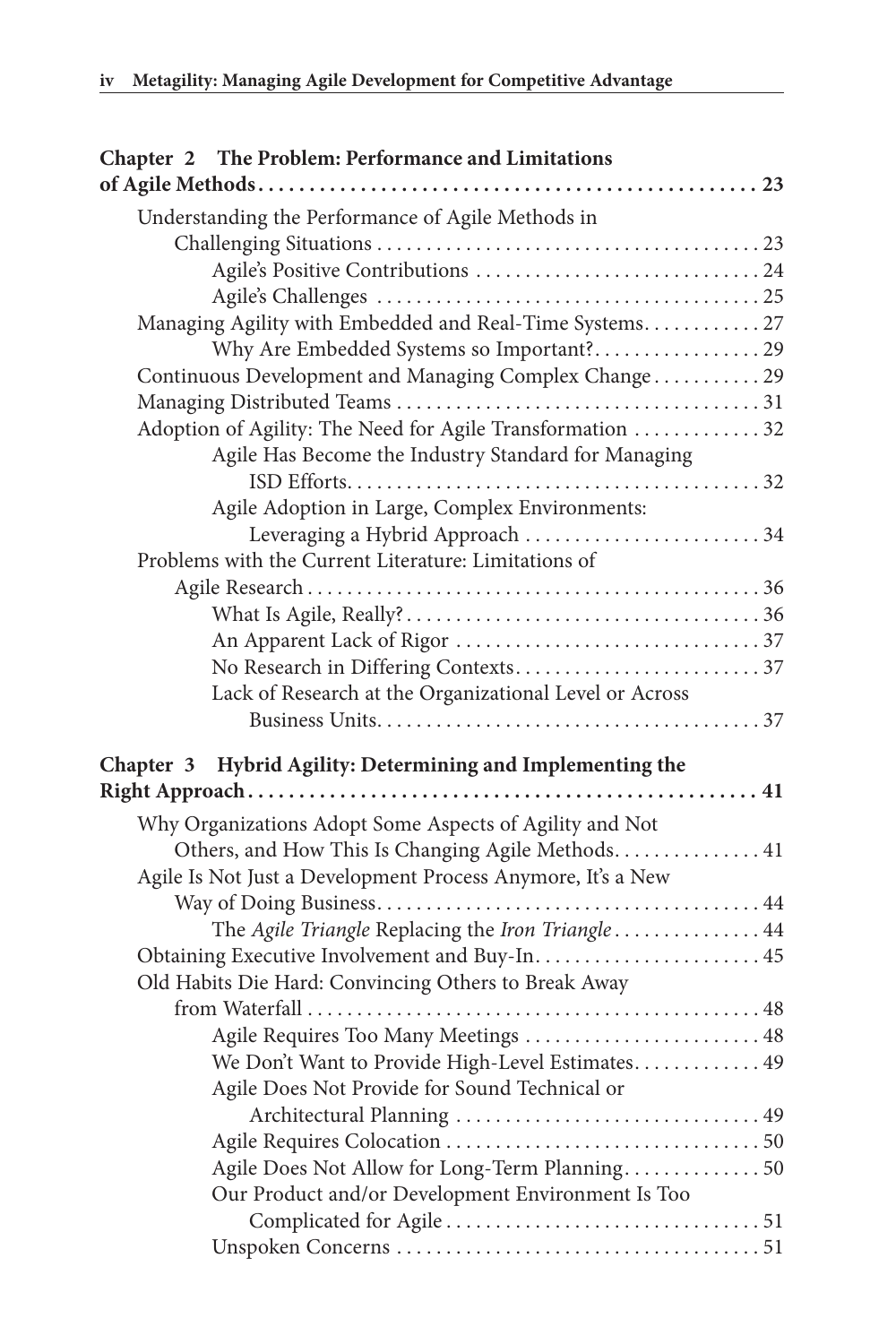| Chapter 2 The Problem: Performance and Limitations          |  |
|-------------------------------------------------------------|--|
|                                                             |  |
| Understanding the Performance of Agile Methods in           |  |
|                                                             |  |
|                                                             |  |
|                                                             |  |
| Managing Agility with Embedded and Real-Time Systems 27     |  |
|                                                             |  |
| Continuous Development and Managing Complex Change 29       |  |
|                                                             |  |
| Adoption of Agility: The Need for Agile Transformation  32  |  |
| Agile Has Become the Industry Standard for Managing         |  |
|                                                             |  |
| Agile Adoption in Large, Complex Environments:              |  |
| Leveraging a Hybrid Approach 34                             |  |
| Problems with the Current Literature: Limitations of        |  |
|                                                             |  |
|                                                             |  |
|                                                             |  |
|                                                             |  |
| Lack of Research at the Organizational Level or Across      |  |
|                                                             |  |
| Chapter 3 Hybrid Agility: Determining and Implementing the  |  |
|                                                             |  |
| Why Organizations Adopt Some Aspects of Agility and Not     |  |
| Others, and How This Is Changing Agile Methods. 41          |  |
| Agile Is Not Just a Development Process Anymore, It's a New |  |
|                                                             |  |
| The Agile Triangle Replacing the Iron Triangle 44           |  |
|                                                             |  |
| Old Habits Die Hard: Convincing Others to Break Away        |  |
|                                                             |  |
| Agile Requires Too Many Meetings  48                        |  |
| We Don't Want to Provide High-Level Estimates. 49           |  |
| Agile Does Not Provide for Sound Technical or               |  |
|                                                             |  |
|                                                             |  |
| Agile Does Not Allow for Long-Term Planning50               |  |
| Our Product and/or Development Environment Is Too           |  |
|                                                             |  |
|                                                             |  |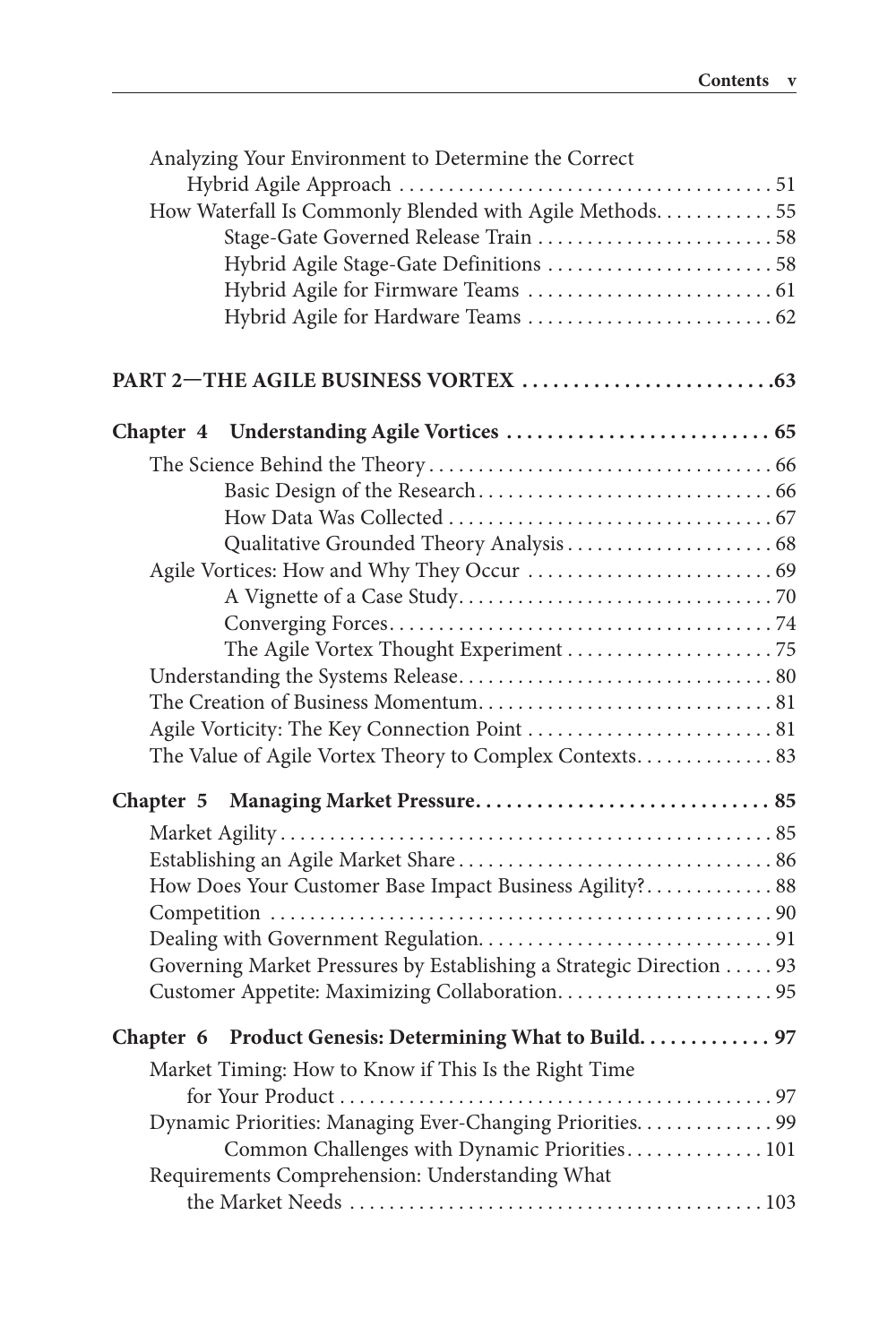| Analyzing Your Environment to Determine the Correct                                             |  |
|-------------------------------------------------------------------------------------------------|--|
|                                                                                                 |  |
| How Waterfall Is Commonly Blended with Agile Methods. 55                                        |  |
| Stage-Gate Governed Release Train 58                                                            |  |
| Hybrid Agile Stage-Gate Definitions 58                                                          |  |
|                                                                                                 |  |
|                                                                                                 |  |
|                                                                                                 |  |
|                                                                                                 |  |
|                                                                                                 |  |
|                                                                                                 |  |
|                                                                                                 |  |
|                                                                                                 |  |
|                                                                                                 |  |
|                                                                                                 |  |
|                                                                                                 |  |
|                                                                                                 |  |
|                                                                                                 |  |
|                                                                                                 |  |
| Agile Vorticity: The Key Connection Point  81                                                   |  |
| The Value of Agile Vortex Theory to Complex Contexts 83                                         |  |
|                                                                                                 |  |
|                                                                                                 |  |
|                                                                                                 |  |
| How Does Your Customer Base Impact Business Agility? 88                                         |  |
|                                                                                                 |  |
|                                                                                                 |  |
| Governing Market Pressures by Establishing a Strategic Direction 93                             |  |
|                                                                                                 |  |
| Chapter 6 Product Genesis: Determining What to Build 97                                         |  |
| Market Timing: How to Know if This Is the Right Time                                            |  |
|                                                                                                 |  |
| Dynamic Priorities: Managing Ever-Changing Priorities. 99                                       |  |
| Common Challenges with Dynamic Priorities 101<br>Requirements Comprehension: Understanding What |  |
|                                                                                                 |  |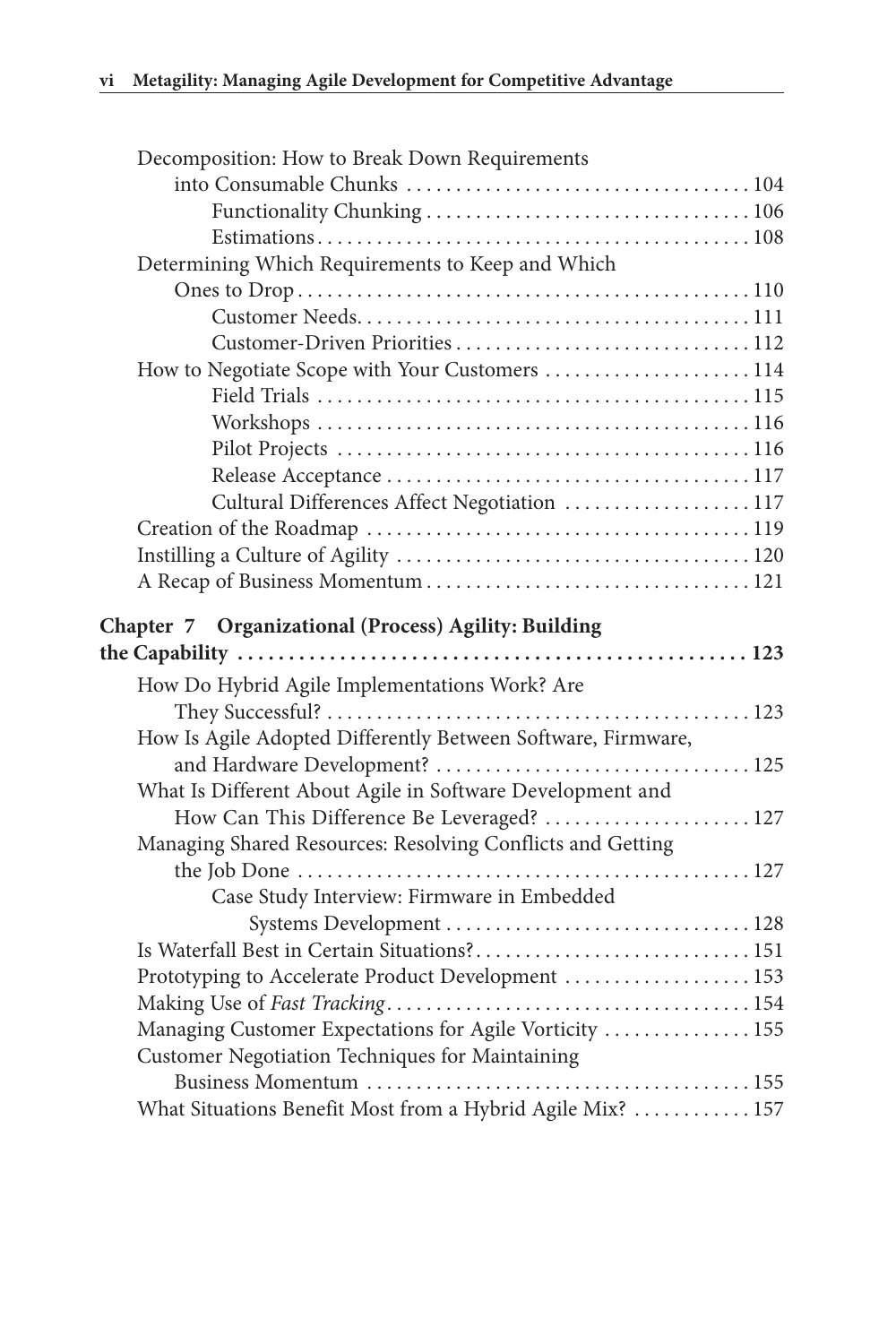| Decomposition: How to Break Down Requirements                |  |
|--------------------------------------------------------------|--|
|                                                              |  |
|                                                              |  |
|                                                              |  |
| Determining Which Requirements to Keep and Which             |  |
|                                                              |  |
|                                                              |  |
|                                                              |  |
| How to Negotiate Scope with Your Customers 114               |  |
|                                                              |  |
|                                                              |  |
|                                                              |  |
|                                                              |  |
| Cultural Differences Affect Negotiation 117                  |  |
|                                                              |  |
|                                                              |  |
|                                                              |  |
| Chapter 7 Organizational (Process) Agility: Building         |  |
| How Do Hybrid Agile Implementations Work? Are                |  |
|                                                              |  |
| How Is Agile Adopted Differently Between Software, Firmware, |  |
|                                                              |  |
| What Is Different About Agile in Software Development and    |  |
| How Can This Difference Be Leveraged?  127                   |  |
| Managing Shared Resources: Resolving Conflicts and Getting   |  |
|                                                              |  |
| Case Study Interview: Firmware in Embedded                   |  |
|                                                              |  |
|                                                              |  |
| Prototyping to Accelerate Product Development  153           |  |
|                                                              |  |
| Managing Customer Expectations for Agile Vorticity  155      |  |
| Customer Negotiation Techniques for Maintaining              |  |
|                                                              |  |
| What Situations Benefit Most from a Hybrid Agile Mix?  157   |  |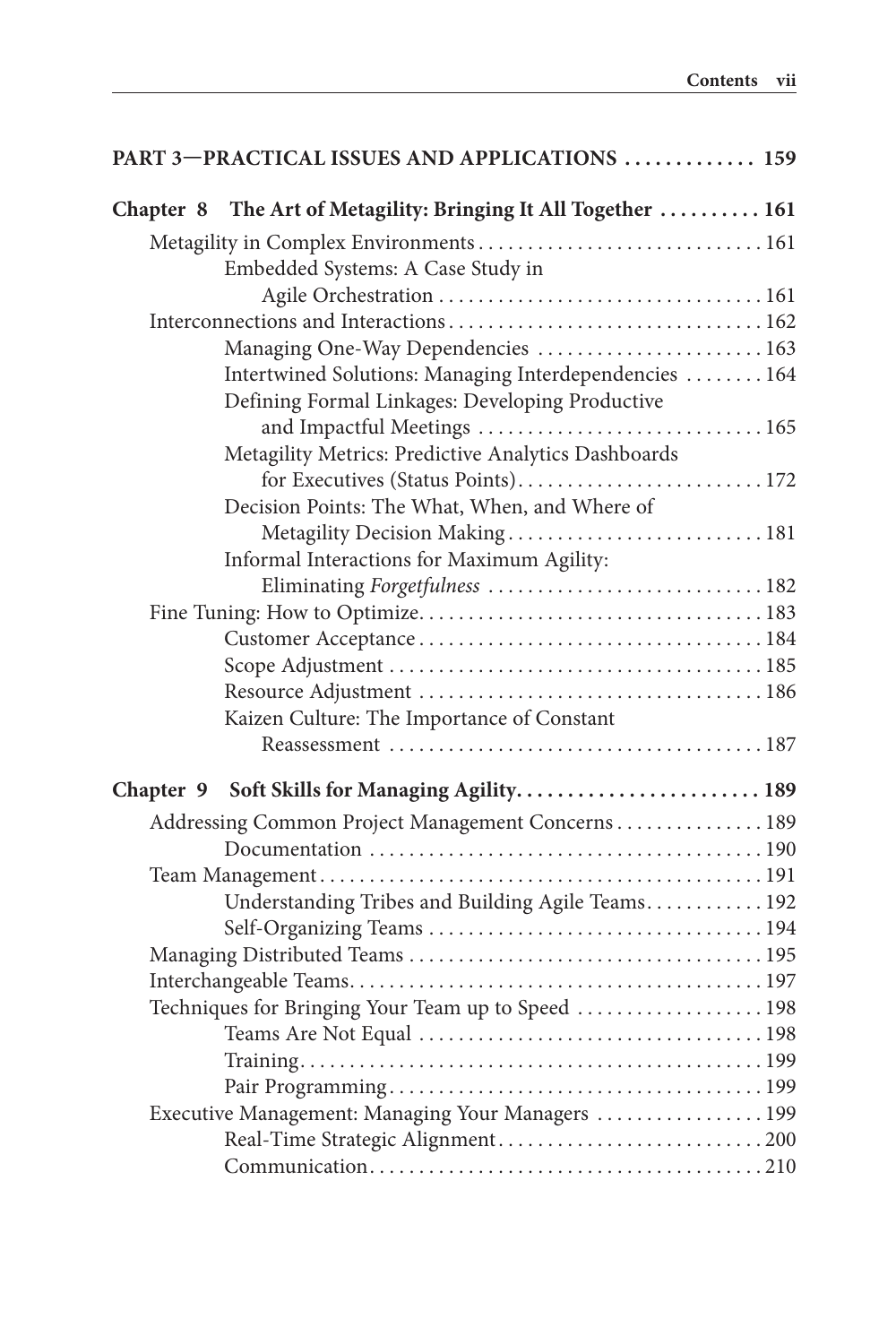| PART 3-PRACTICAL ISSUES AND APPLICATIONS  159                     |  |
|-------------------------------------------------------------------|--|
| The Art of Metagility: Bringing It All Together  161<br>Chapter 8 |  |
|                                                                   |  |
| Embedded Systems: A Case Study in                                 |  |
|                                                                   |  |
|                                                                   |  |
| Managing One-Way Dependencies  163                                |  |
| Intertwined Solutions: Managing Interdependencies  164            |  |
| Defining Formal Linkages: Developing Productive                   |  |
| and Impactful Meetings  165                                       |  |
| Metagility Metrics: Predictive Analytics Dashboards               |  |
| for Executives (Status Points)172                                 |  |
| Decision Points: The What, When, and Where of                     |  |
| Metagility Decision Making181                                     |  |
| Informal Interactions for Maximum Agility:                        |  |
| Eliminating Forgetfulness 182                                     |  |
|                                                                   |  |
|                                                                   |  |
|                                                                   |  |
|                                                                   |  |
| Kaizen Culture: The Importance of Constant                        |  |
|                                                                   |  |
| Soft Skills for Managing Agility 189<br>Chapter 9                 |  |
| Addressing Common Project Management Concerns 189                 |  |
|                                                                   |  |
|                                                                   |  |
| Understanding Tribes and Building Agile Teams 192                 |  |
|                                                                   |  |
|                                                                   |  |
|                                                                   |  |
| Techniques for Bringing Your Team up to Speed  198                |  |
|                                                                   |  |
|                                                                   |  |
|                                                                   |  |
| Executive Management: Managing Your Managers  199                 |  |
|                                                                   |  |
|                                                                   |  |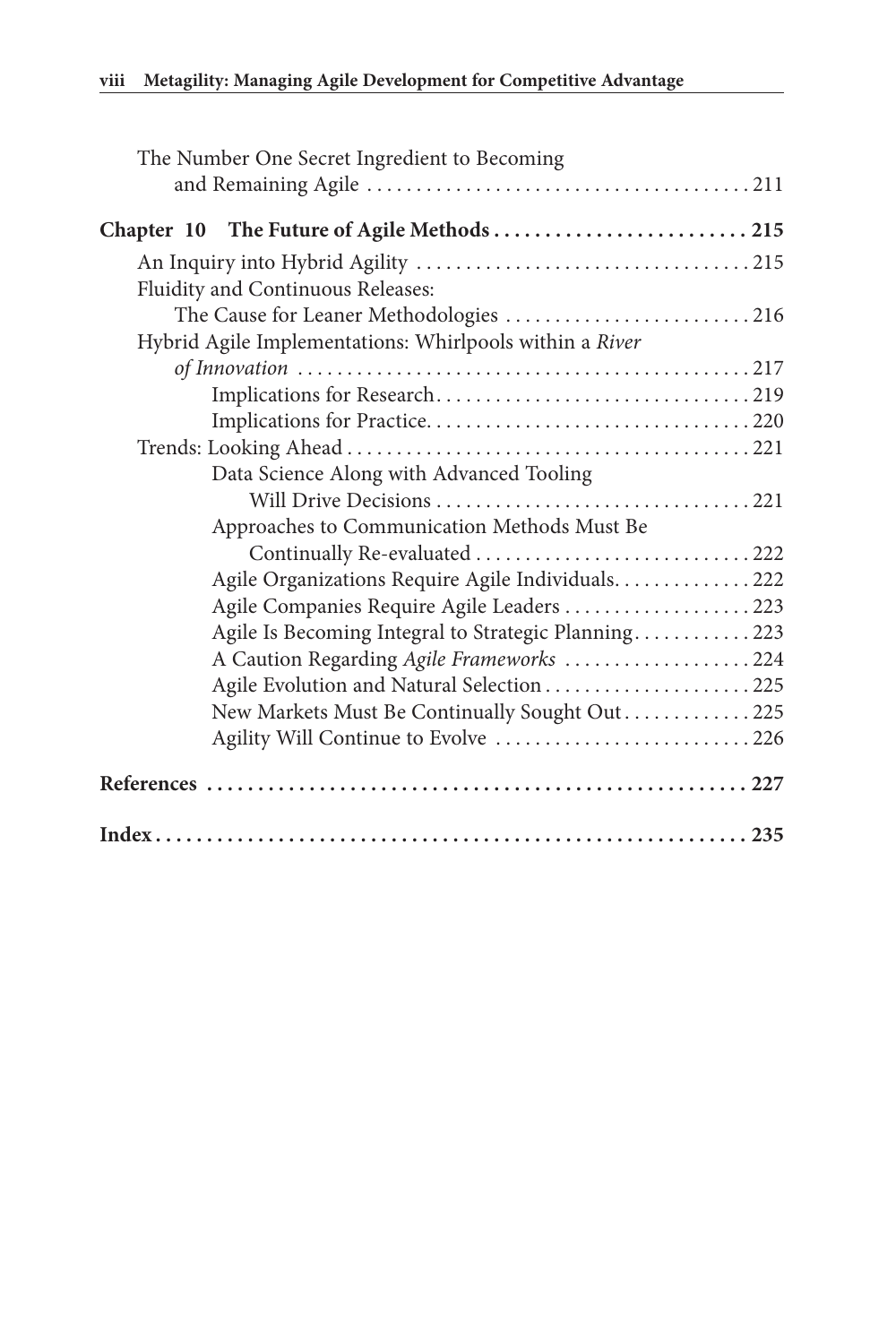| The Number One Secret Ingredient to Becoming            |  |
|---------------------------------------------------------|--|
|                                                         |  |
|                                                         |  |
|                                                         |  |
| Fluidity and Continuous Releases:                       |  |
| The Cause for Leaner Methodologies 216                  |  |
| Hybrid Agile Implementations: Whirlpools within a River |  |
|                                                         |  |
|                                                         |  |
|                                                         |  |
|                                                         |  |
| Data Science Along with Advanced Tooling                |  |
|                                                         |  |
| Approaches to Communication Methods Must Be             |  |
|                                                         |  |
| Agile Organizations Require Agile Individuals222        |  |
| Agile Companies Require Agile Leaders 223               |  |
| Agile Is Becoming Integral to Strategic Planning223     |  |
| A Caution Regarding Agile Frameworks 224                |  |
|                                                         |  |
| New Markets Must Be Continually Sought Out225           |  |
| Agility Will Continue to Evolve 226                     |  |
|                                                         |  |
|                                                         |  |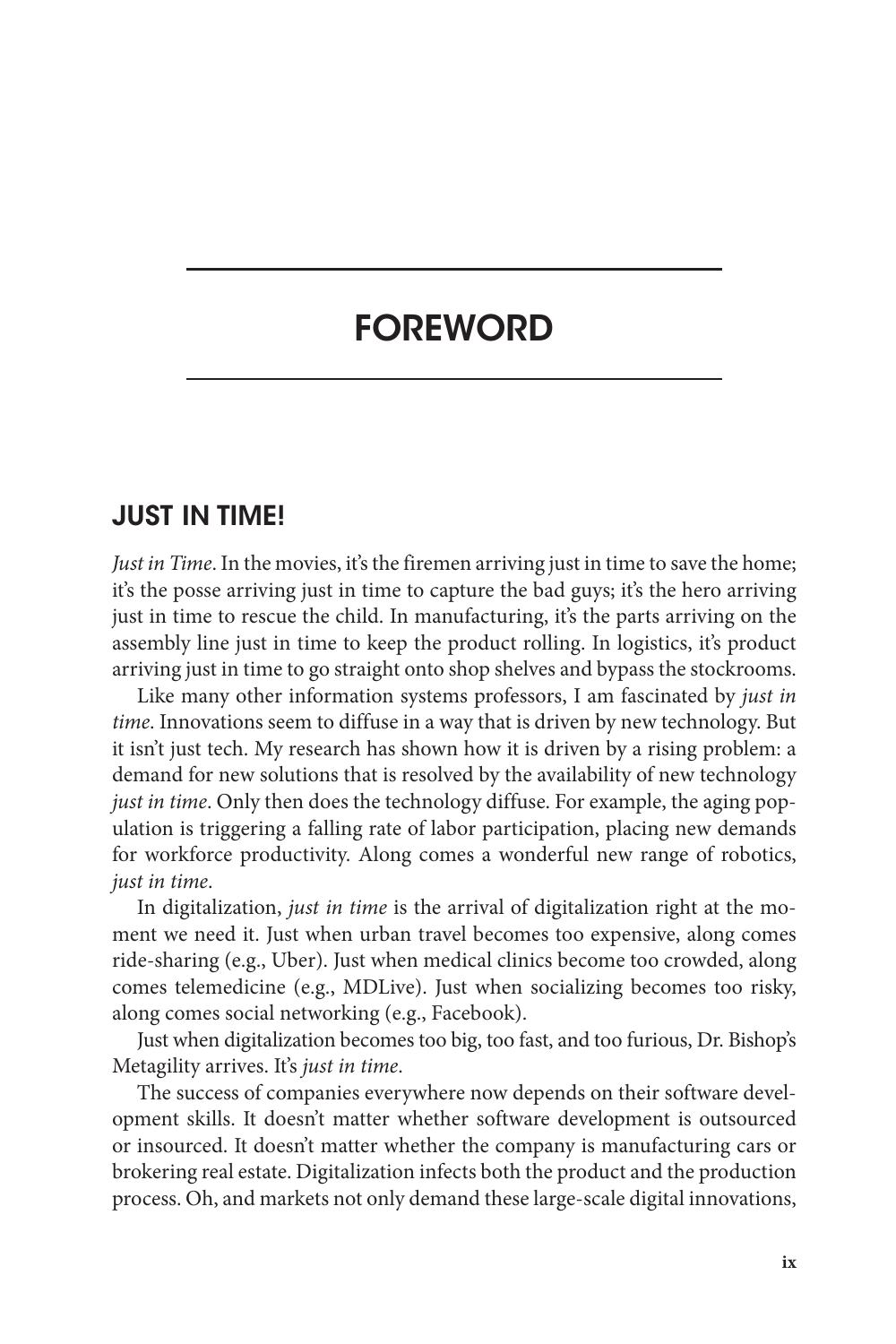### FOREWORD

#### JUST IN TIME!

*Just in Time*. In the movies, it's the firemen arriving just in time to save the home; it's the posse arriving just in time to capture the bad guys; it's the hero arriving just in time to rescue the child. In manufacturing, it's the parts arriving on the assembly line just in time to keep the product rolling. In logistics, it's product arriving just in time to go straight onto shop shelves and bypass the stockrooms.

Like many other information systems professors, I am fascinated by *just in time*. Innovations seem to diffuse in a way that is driven by new technology. But it isn't just tech. My research has shown how it is driven by a rising problem: a demand for new solutions that is resolved by the availability of new technology *just in time*. Only then does the technology diffuse. For example, the aging population is triggering a falling rate of labor participation, placing new demands for workforce productivity. Along comes a wonderful new range of robotics, *just in time*.

In digitalization, *just in time* is the arrival of digitalization right at the moment we need it. Just when urban travel becomes too expensive, along comes ride-sharing (e.g., Uber). Just when medical clinics become too crowded, along comes telemedicine (e.g., MDLive). Just when socializing becomes too risky, along comes social networking (e.g., Facebook).

Just when digitalization becomes too big, too fast, and too furious, Dr. Bishop's Metagility arrives. It's *just in time*.

The success of companies everywhere now depends on their software development skills. It doesn't matter whether software development is outsourced or insourced. It doesn't matter whether the company is manufacturing cars or brokering real estate. Digitalization infects both the product and the production process. Oh, and markets not only demand these large-scale digital innovations,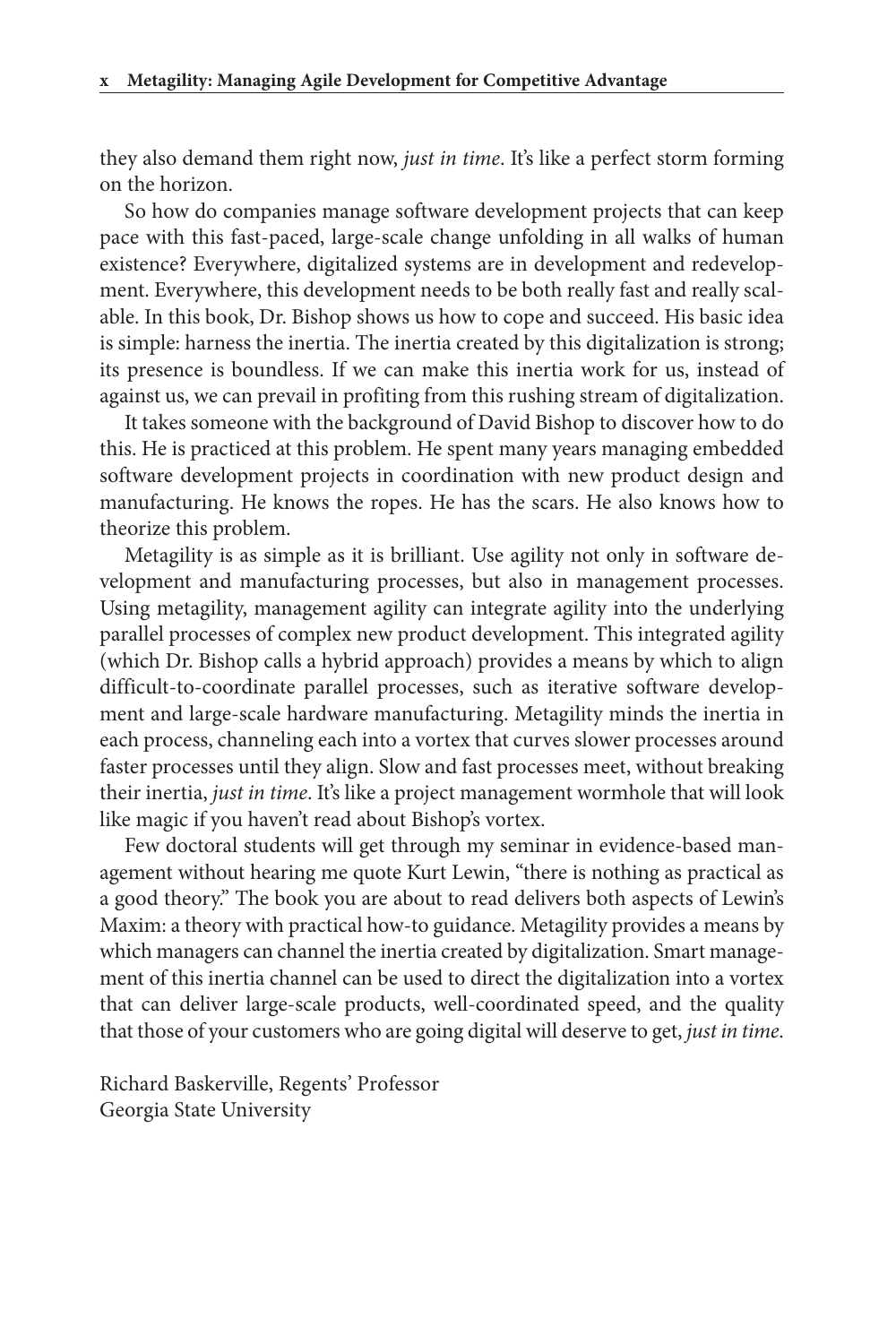they also demand them right now, *just in time*. It's like a perfect storm forming on the horizon.

So how do companies manage software development projects that can keep pace with this fast-paced, large-scale change unfolding in all walks of human existence? Everywhere, digitalized systems are in development and redevelopment. Everywhere, this development needs to be both really fast and really scalable. In this book, Dr. Bishop shows us how to cope and succeed. His basic idea is simple: harness the inertia. The inertia created by this digitalization is strong; its presence is boundless. If we can make this inertia work for us, instead of against us, we can prevail in profiting from this rushing stream of digitalization.

It takes someone with the background of David Bishop to discover how to do this. He is practiced at this problem. He spent many years managing embedded software development projects in coordination with new product design and manufacturing. He knows the ropes. He has the scars. He also knows how to theorize this problem.

Metagility is as simple as it is brilliant. Use agility not only in software development and manufacturing processes, but also in management processes. Using metagility, management agility can integrate agility into the underlying parallel processes of complex new product development. This integrated agility (which Dr. Bishop calls a hybrid approach) provides a means by which to align difficult-to-coordinate parallel processes, such as iterative software development and large-scale hardware manufacturing. Metagility minds the inertia in each process, channeling each into a vortex that curves slower processes around faster processes until they align. Slow and fast processes meet, without breaking their inertia, *just in time*. It's like a project management wormhole that will look like magic if you haven't read about Bishop's vortex.

Few doctoral students will get through my seminar in evidence-based management without hearing me quote Kurt Lewin, "there is nothing as practical as a good theory." The book you are about to read delivers both aspects of Lewin's Maxim: a theory with practical how-to guidance. Metagility provides a means by which managers can channel the inertia created by digitalization. Smart management of this inertia channel can be used to direct the digitalization into a vortex that can deliver large-scale products, well-coordinated speed, and the quality that those of your customers who are going digital will deserve to get, *just in time*.

Richard Baskerville, Regents' Professor Georgia State University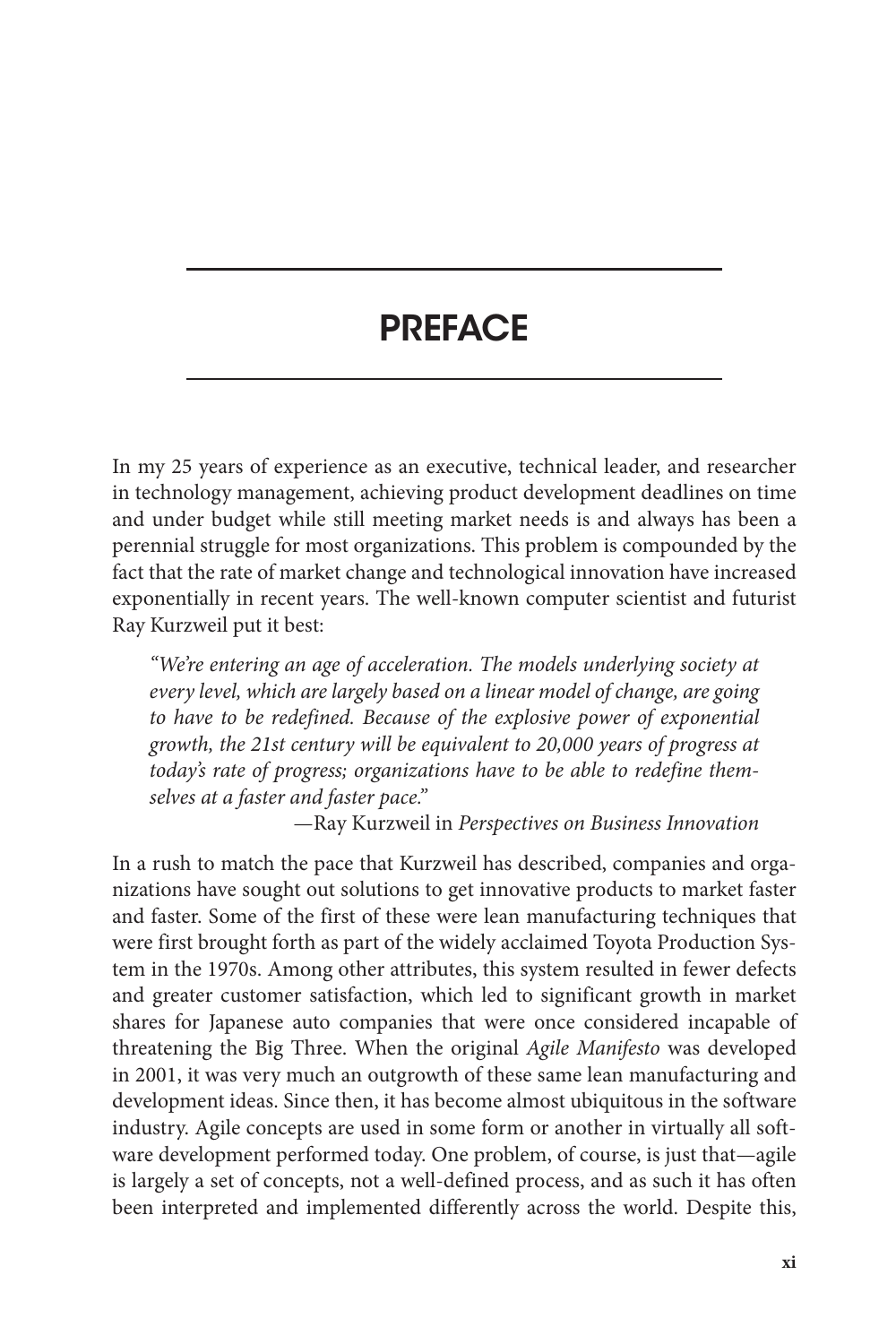### **PREFACE**

In my 25 years of experience as an executive, technical leader, and researcher in technology management, achieving product development deadlines on time and under budget while still meeting market needs is and always has been a perennial struggle for most organizations. This problem is compounded by the fact that the rate of market change and technological innovation have increased exponentially in recent years. The well-known computer scientist and futurist Ray Kurzweil put it best:

*"We're entering an age of acceleration. The models underlying society at every level, which are largely based on a linear model of change, are going to have to be redefined. Because of the explosive power of exponential growth, the 21st century will be equivalent to 20,000 years of progress at today's rate of progress; organizations have to be able to redefine themselves at a faster and faster pace."*

—Ray Kurzweil in *Perspectives on Business Innovation*

In a rush to match the pace that Kurzweil has described, companies and organizations have sought out solutions to get innovative products to market faster and faster. Some of the first of these were lean manufacturing techniques that were first brought forth as part of the widely acclaimed Toyota Production System in the 1970s. Among other attributes, this system resulted in fewer defects and greater customer satisfaction, which led to significant growth in market shares for Japanese auto companies that were once considered incapable of threatening the Big Three. When the original *Agile Manifesto* was developed in 2001, it was very much an outgrowth of these same lean manufacturing and development ideas. Since then, it has become almost ubiquitous in the software industry. Agile concepts are used in some form or another in virtually all software development performed today. One problem, of course, is just that—agile is largely a set of concepts, not a well-defined process, and as such it has often been interpreted and implemented differently across the world. Despite this,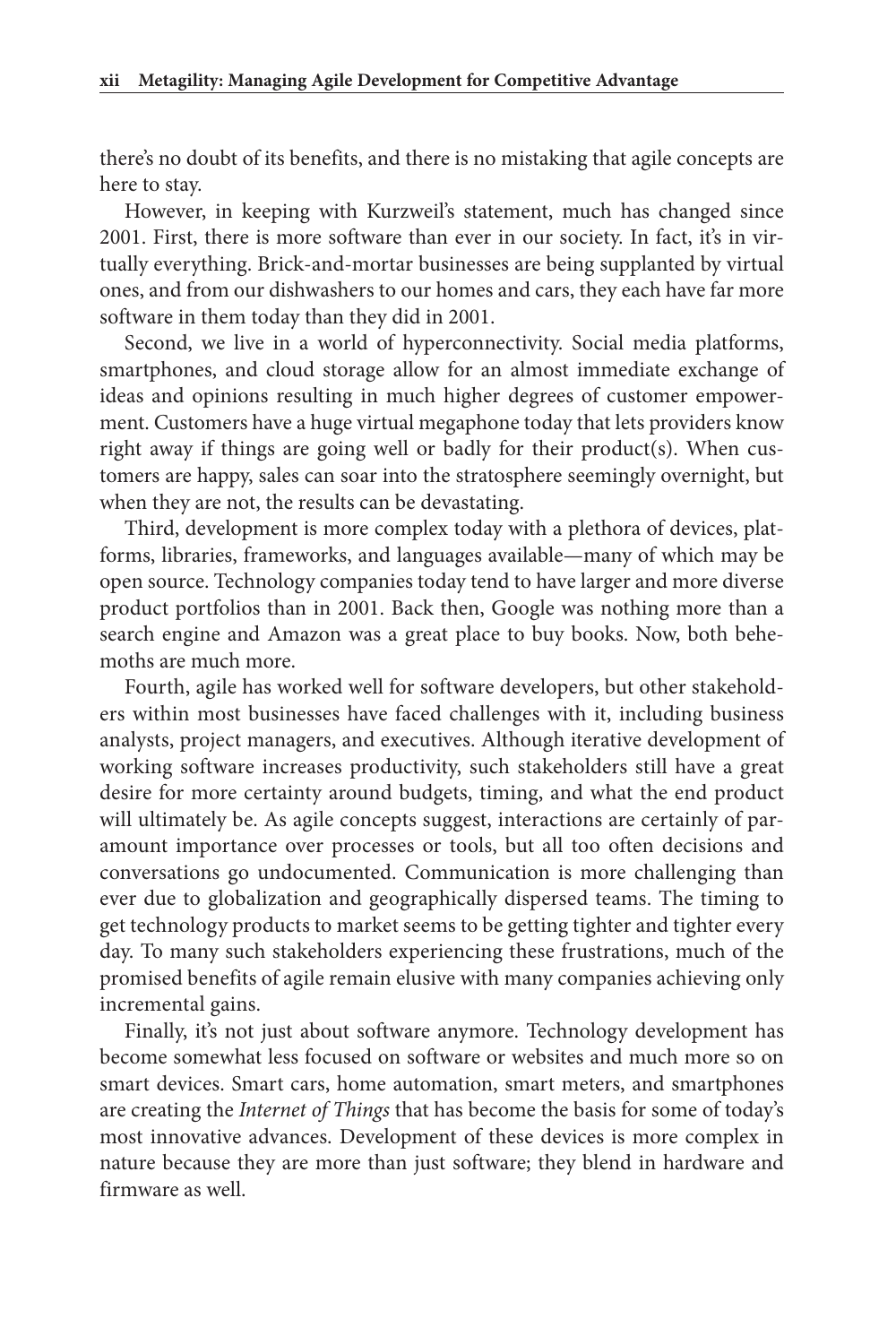there's no doubt of its benefits, and there is no mistaking that agile concepts are here to stay.

However, in keeping with Kurzweil's statement, much has changed since 2001. First, there is more software than ever in our society. In fact, it's in virtually everything. Brick-and-mortar businesses are being supplanted by virtual ones, and from our dishwashers to our homes and cars, they each have far more software in them today than they did in 2001.

Second, we live in a world of hyperconnectivity. Social media platforms, smartphones, and cloud storage allow for an almost immediate exchange of ideas and opinions resulting in much higher degrees of customer empowerment. Customers have a huge virtual megaphone today that lets providers know right away if things are going well or badly for their product(s). When customers are happy, sales can soar into the stratosphere seemingly overnight, but when they are not, the results can be devastating.

Third, development is more complex today with a plethora of devices, platforms, libraries, frameworks, and languages available—many of which may be open source. Technology companies today tend to have larger and more diverse product portfolios than in 2001. Back then, Google was nothing more than a search engine and Amazon was a great place to buy books. Now, both behemoths are much more.

Fourth, agile has worked well for software developers, but other stakeholders within most businesses have faced challenges with it, including business analysts, project managers, and executives. Although iterative development of working software increases productivity, such stakeholders still have a great desire for more certainty around budgets, timing, and what the end product will ultimately be. As agile concepts suggest, interactions are certainly of paramount importance over processes or tools, but all too often decisions and conversations go undocumented. Communication is more challenging than ever due to globalization and geographically dispersed teams. The timing to get technology products to market seems to be getting tighter and tighter every day. To many such stakeholders experiencing these frustrations, much of the promised benefits of agile remain elusive with many companies achieving only incremental gains.

Finally, it's not just about software anymore. Technology development has become somewhat less focused on software or websites and much more so on smart devices. Smart cars, home automation, smart meters, and smartphones are creating the *Internet of Things* that has become the basis for some of today's most innovative advances. Development of these devices is more complex in nature because they are more than just software; they blend in hardware and firmware as well.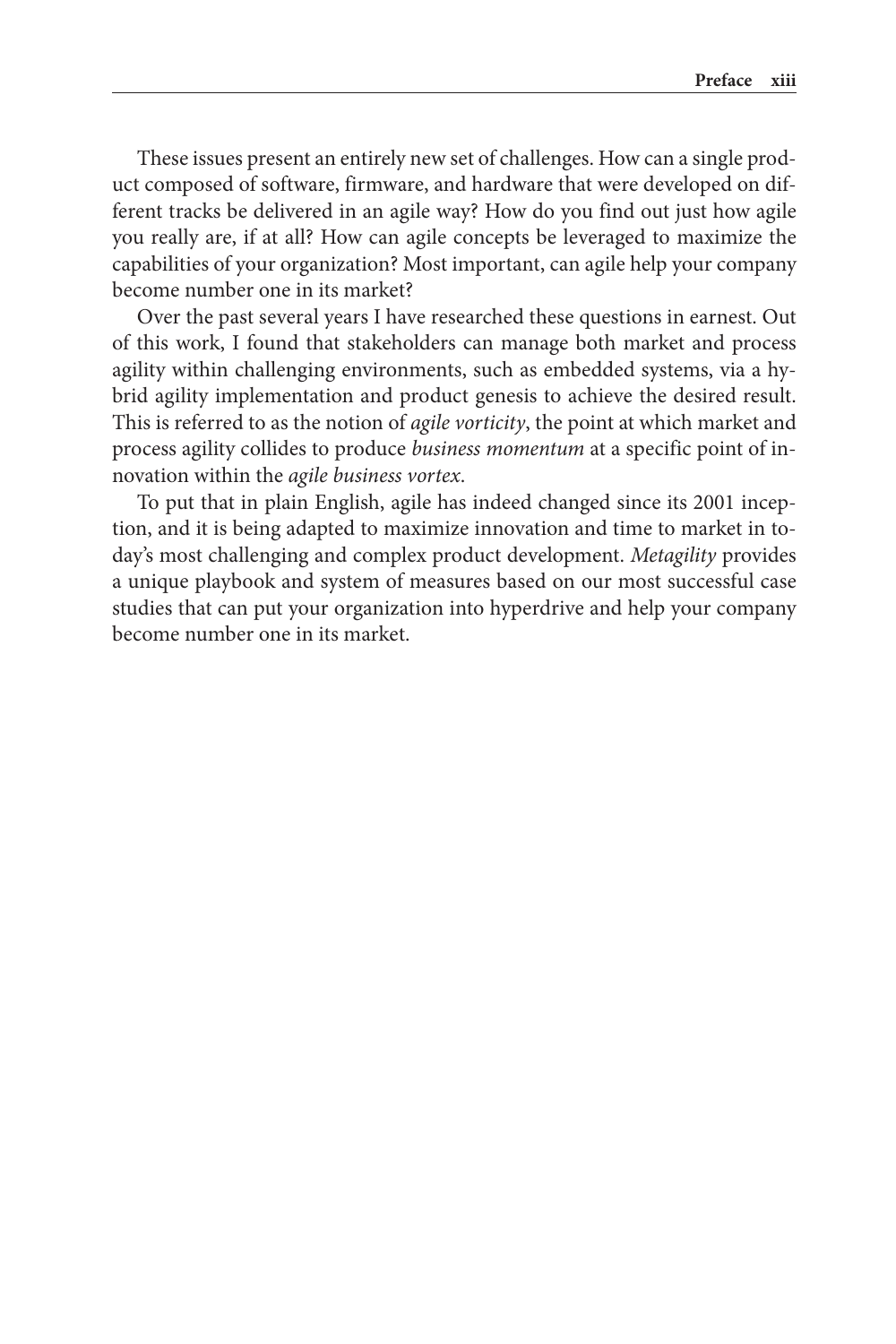These issues present an entirely new set of challenges. How can a single product composed of software, firmware, and hardware that were developed on different tracks be delivered in an agile way? How do you find out just how agile you really are, if at all? How can agile concepts be leveraged to maximize the capabilities of your organization? Most important, can agile help your company become number one in its market?

Over the past several years I have researched these questions in earnest. Out of this work, I found that stakeholders can manage both market and process agility within challenging environments, such as embedded systems, via a hybrid agility implementation and product genesis to achieve the desired result. This is referred to as the notion of *agile vorticity*, the point at which market and process agility collides to produce *business momentum* at a specific point of innovation within the *agile business vortex*.

To put that in plain English, agile has indeed changed since its 2001 inception, and it is being adapted to maximize innovation and time to market in today's most challenging and complex product development. *Metagility* provides a unique playbook and system of measures based on our most successful case studies that can put your organization into hyperdrive and help your company become number one in its market.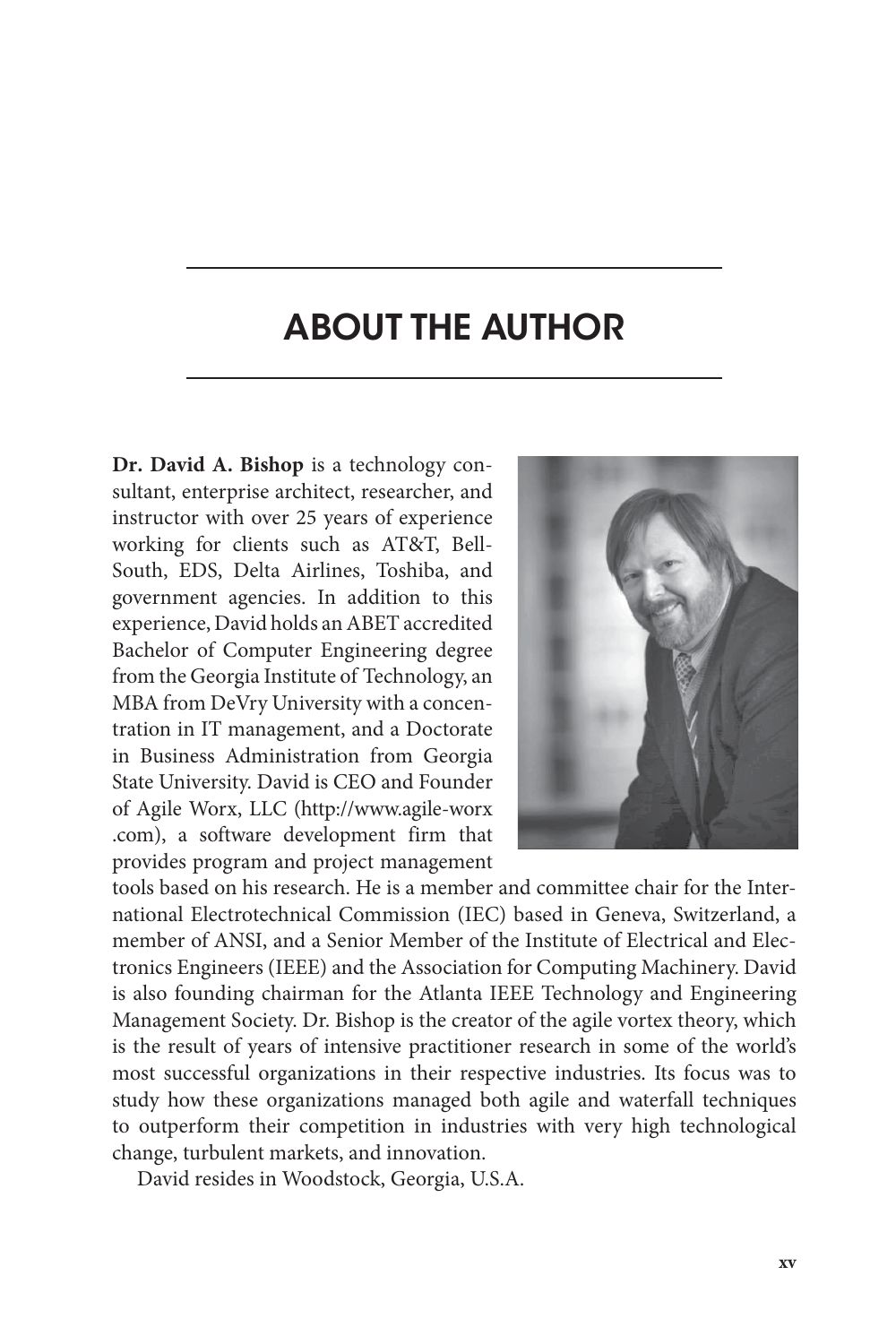### ABOUT THE AUTHOR

**Dr. David A. Bishop** is a technology consultant, enterprise architect, researcher, and instructor with over 25 years of experience working for clients such as AT&T, Bell-South, EDS, Delta Airlines, Toshiba, and government agencies. In addition to this experience, David holds an ABET accredited Bachelor of Computer Engineering degree from the Georgia Institute of Technology, an MBA from DeVry University with a concentration in IT management, and a Doctorate in Business Administration from Georgia State University. David is CEO and Founder of Agile Worx, LLC (http://www.agile-worx .com), a software development firm that provides program and project management



tools based on his research. He is a member and committee chair for the International Electrotechnical Commission (IEC) based in Geneva, Switzerland, a member of ANSI, and a Senior Member of the Institute of Electrical and Electronics Engineers (IEEE) and the Association for Computing Machinery. David is also founding chairman for the Atlanta IEEE Technology and Engineering Management Society. Dr. Bishop is the creator of the agile vortex theory, which is the result of years of intensive practitioner research in some of the world's most successful organizations in their respective industries. Its focus was to study how these organizations managed both agile and waterfall techniques to outperform their competition in industries with very high technological change, turbulent markets, and innovation.

David resides in Woodstock, Georgia, U.S.A.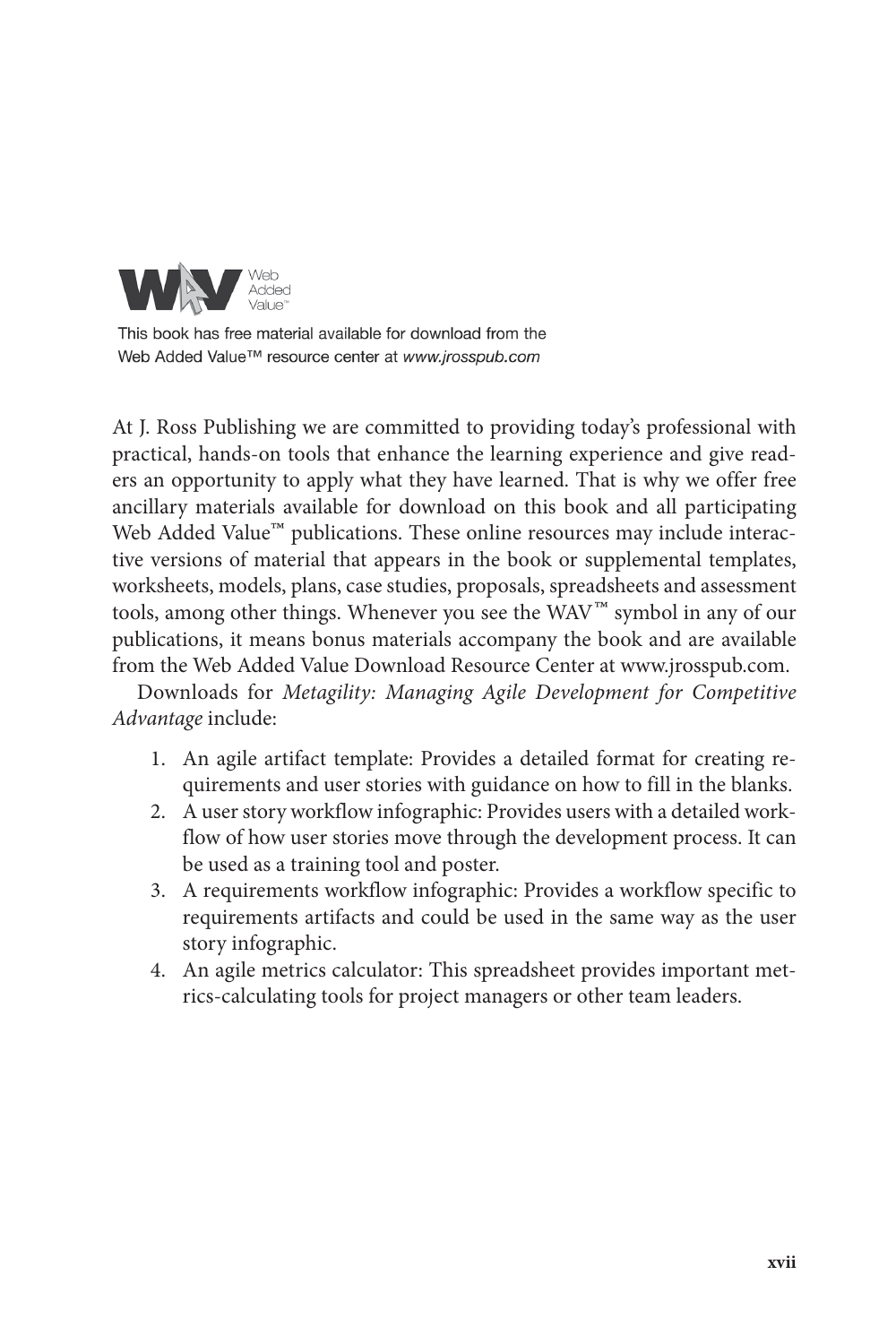

This book has free material available for download from the Web Added Value™ resource center at www.jrosspub.com

At J. Ross Publishing we are committed to providing today's professional with practical, hands-on tools that enhance the learning experience and give readers an opportunity to apply what they have learned. That is why we offer free ancillary materials available for download on this book and all participating Web Added Value<sup>™</sup> publications. These online resources may include interactive versions of material that appears in the book or supplemental templates, worksheets, models, plans, case studies, proposals, spreadsheets and assessment tools, among other things. Whenever you see the WAV™ symbol in any of our publications, it means bonus materials accompany the book and are available from the Web Added Value Download Resource Center at www.jrosspub.com.

Downloads for *Metagility: Managing Agile Development for Competitive Advantage* include:

- 1. An agile artifact template: Provides a detailed format for creating requirements and user stories with guidance on how to fill in the blanks.
- 2. A user story workflow infographic: Provides users with a detailed workflow of how user stories move through the development process. It can be used as a training tool and poster.
- 3. A requirements workflow infographic: Provides a workflow specific to requirements artifacts and could be used in the same way as the user story infographic.
- 4. An agile metrics calculator: This spreadsheet provides important metrics-calculating tools for project managers or other team leaders.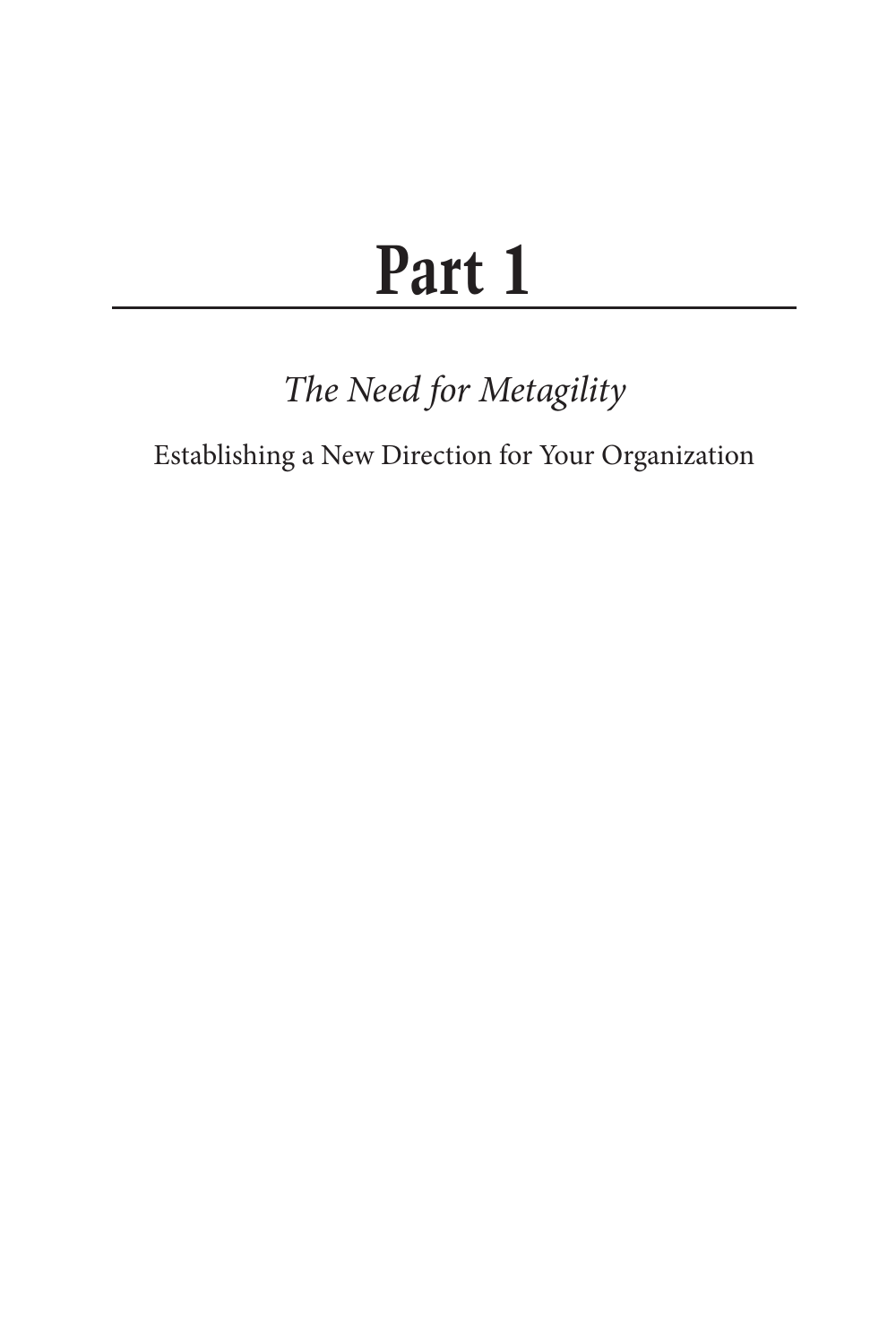# **Part 1**

# *The Need for Metagility*

Establishing a New Direction for Your Organization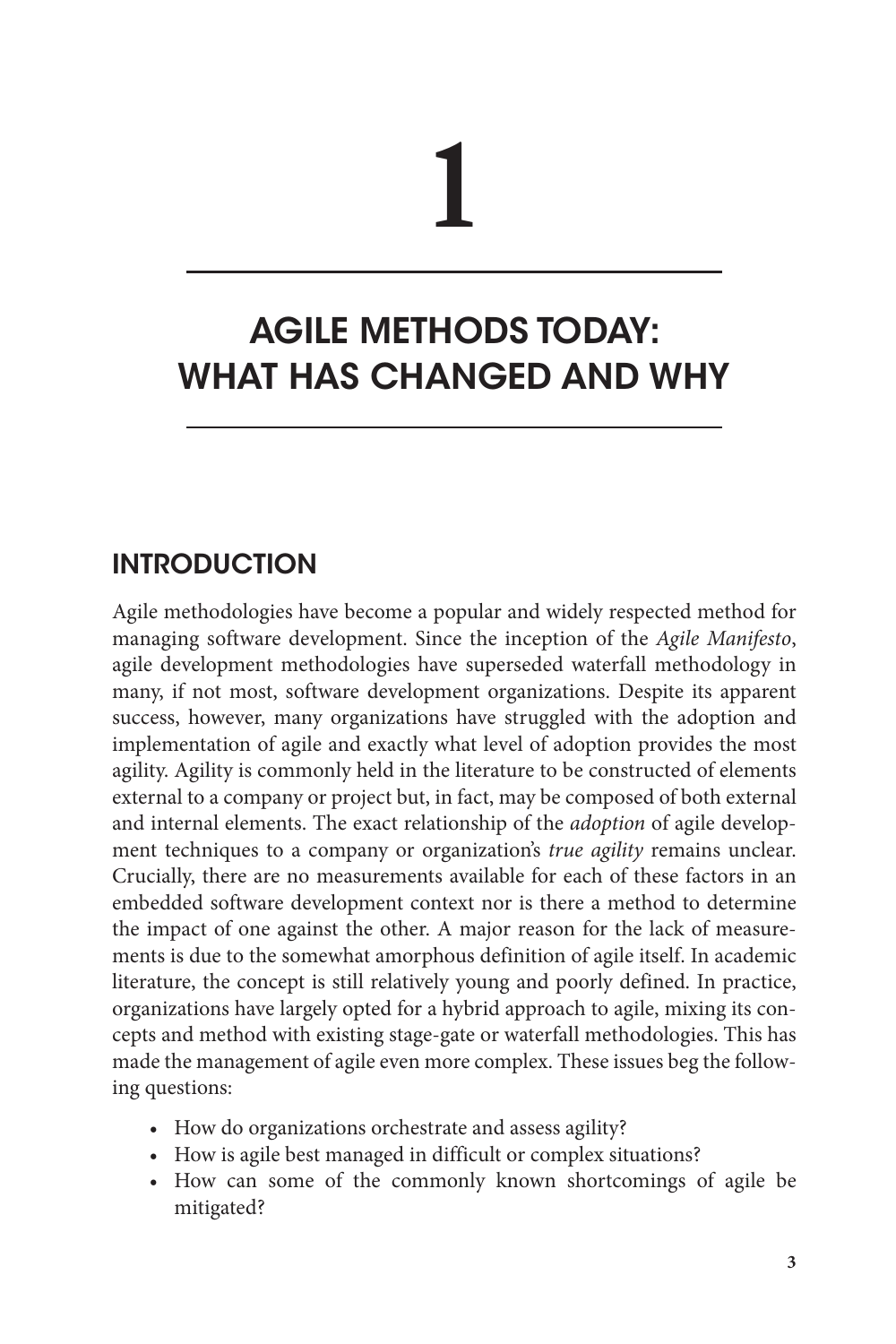# **1**

# AGILE METHODS TODAY: WHAT HAS CHANGED AND WHY

#### INTRODUCTION

Agile methodologies have become a popular and widely respected method for managing software development. Since the inception of the *Agile Manifesto*, agile development methodologies have superseded waterfall methodology in many, if not most, software development organizations. Despite its apparent success, however, many organizations have struggled with the adoption and implementation of agile and exactly what level of adoption provides the most agility. Agility is commonly held in the literature to be constructed of elements external to a company or project but, in fact, may be composed of both external and internal elements. The exact relationship of the *adoption* of agile development techniques to a company or organization's *true agility* remains unclear. Crucially, there are no measurements available for each of these factors in an embedded software development context nor is there a method to determine the impact of one against the other. A major reason for the lack of measurements is due to the somewhat amorphous definition of agile itself. In academic literature, the concept is still relatively young and poorly defined. In practice, organizations have largely opted for a hybrid approach to agile, mixing its concepts and method with existing stage-gate or waterfall methodologies. This has made the management of agile even more complex. These issues beg the following questions:

- How do organizations orchestrate and assess agility?
- How is agile best managed in difficult or complex situations?
- How can some of the commonly known shortcomings of agile be mitigated?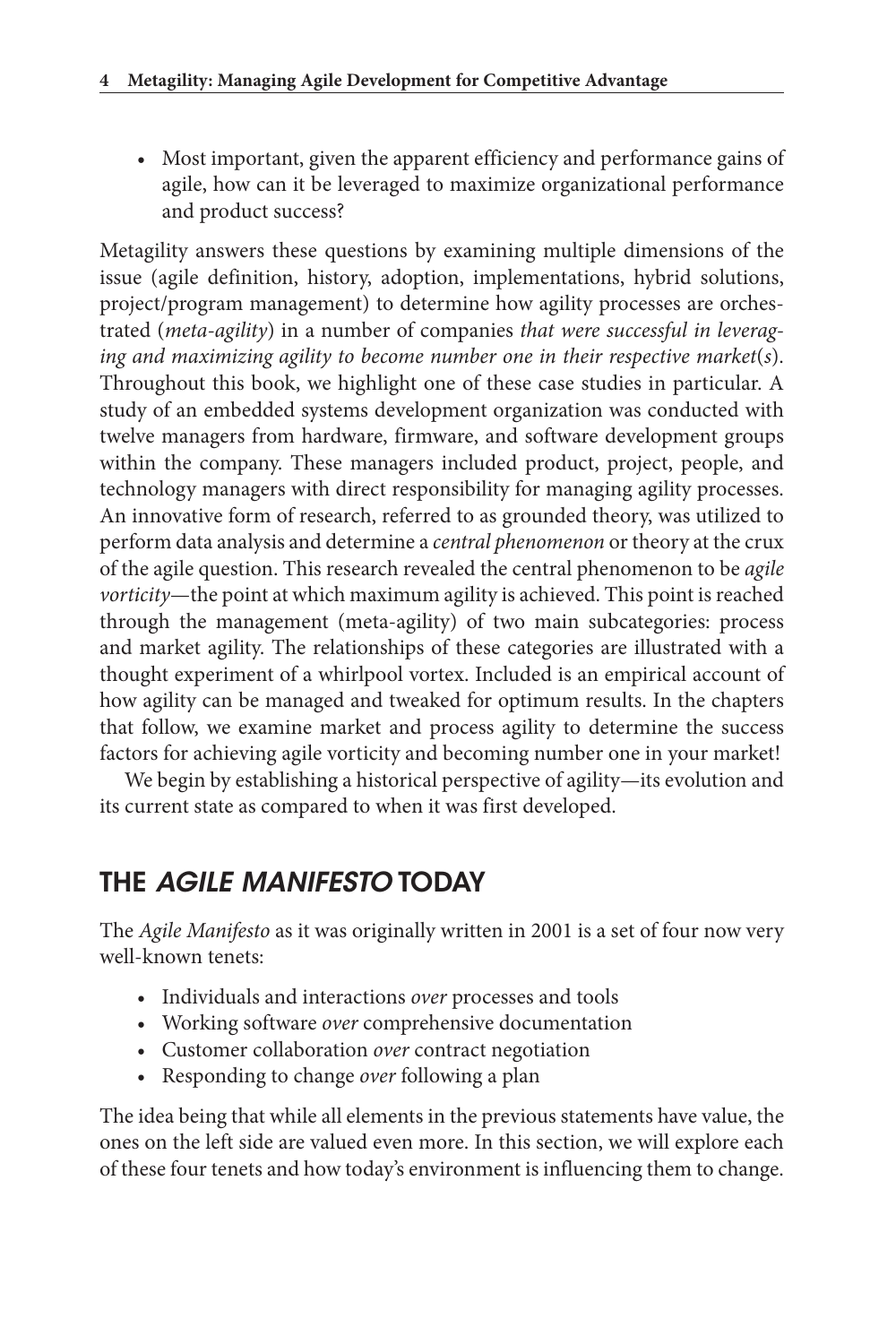• Most important, given the apparent efficiency and performance gains of agile, how can it be leveraged to maximize organizational performance and product success?

Metagility answers these questions by examining multiple dimensions of the issue (agile definition, history, adoption, implementations, hybrid solutions, project/program management) to determine how agility processes are orchestrated (*meta-agility*) in a number of companies *that were successful in leveraging and maximizing agility to become number one in their respective market*(*s*). Throughout this book, we highlight one of these case studies in particular. A study of an embedded systems development organization was conducted with twelve managers from hardware, firmware, and software development groups within the company. These managers included product, project, people, and technology managers with direct responsibility for managing agility processes. An innovative form of research, referred to as grounded theory, was utilized to perform data analysis and determine a *central phenomenon* or theory at the crux of the agile question. This research revealed the central phenomenon to be *agile vorticity*—the point at which maximum agility is achieved. This point is reached through the management (meta-agility) of two main subcategories: process and market agility. The relationships of these categories are illustrated with a thought experiment of a whirlpool vortex. Included is an empirical account of how agility can be managed and tweaked for optimum results. In the chapters that follow, we examine market and process agility to determine the success factors for achieving agile vorticity and becoming number one in your market!

We begin by establishing a historical perspective of agility—its evolution and its current state as compared to when it was first developed.

#### THE *AGILE MANIFESTO* TODAY

The *Agile Manifesto* as it was originally written in 2001 is a set of four now very well-known tenets:

- Individuals and interactions *over* processes and tools
- Working software *over* comprehensive documentation
- Customer collaboration *over* contract negotiation
- Responding to change *over* following a plan

The idea being that while all elements in the previous statements have value, the ones on the left side are valued even more. In this section, we will explore each of these four tenets and how today's environment is influencing them to change.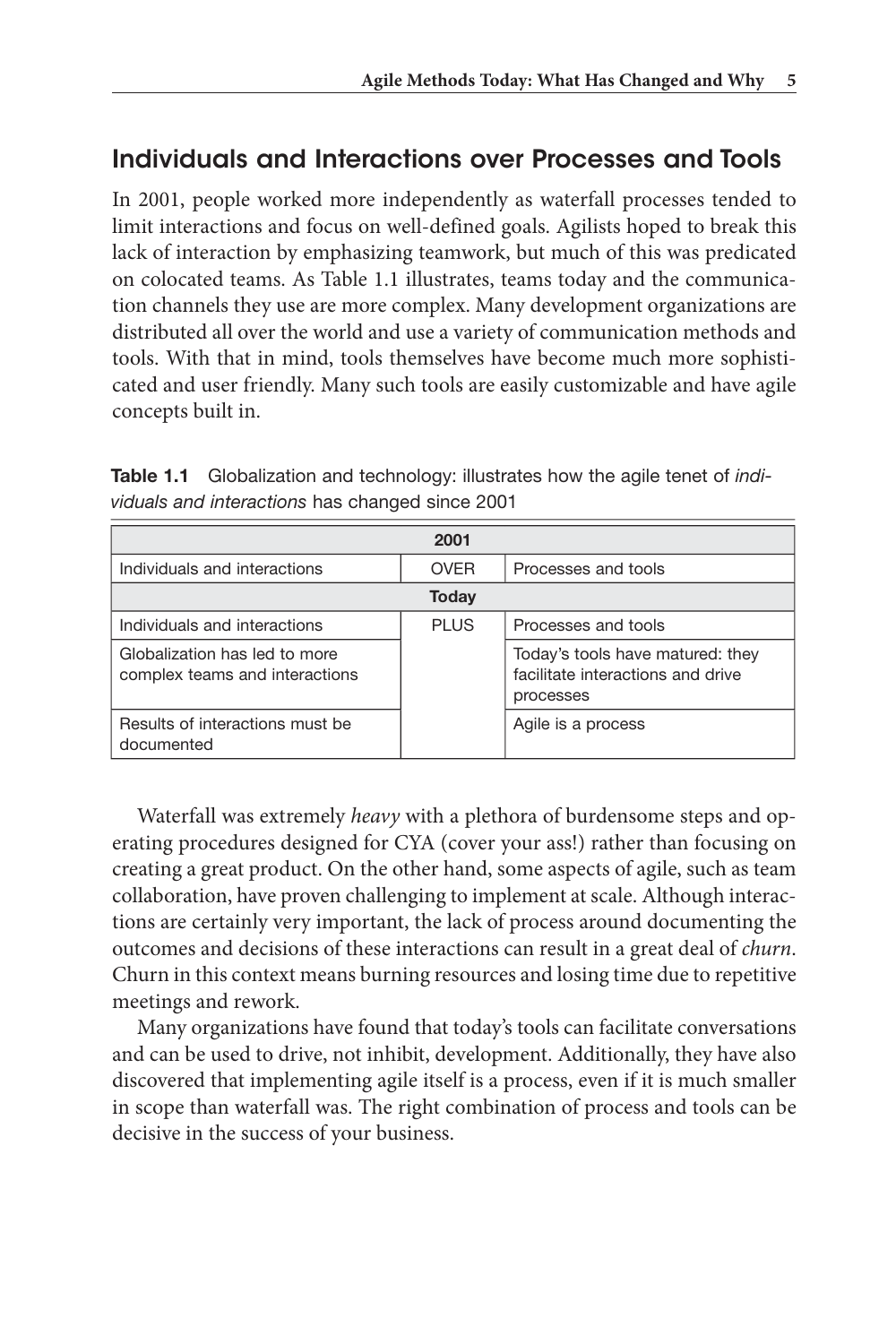#### Individuals and Interactions over Processes and Tools

In 2001, people worked more independently as waterfall processes tended to limit interactions and focus on well-defined goals. Agilists hoped to break this lack of interaction by emphasizing teamwork, but much of this was predicated on colocated teams. As Table 1.1 illustrates, teams today and the communication channels they use are more complex. Many development organizations are distributed all over the world and use a variety of communication methods and tools. With that in mind, tools themselves have become much more sophisticated and user friendly. Many such tools are easily customizable and have agile concepts built in.

| 2001                                                            |             |                                                                                    |  |
|-----------------------------------------------------------------|-------------|------------------------------------------------------------------------------------|--|
| Individuals and interactions                                    | <b>OVER</b> | Processes and tools                                                                |  |
| Today                                                           |             |                                                                                    |  |
| Individuals and interactions                                    | <b>PLUS</b> | Processes and tools                                                                |  |
| Globalization has led to more<br>complex teams and interactions |             | Today's tools have matured: they<br>facilitate interactions and drive<br>processes |  |
| Results of interactions must be<br>documented                   |             | Agile is a process                                                                 |  |

Table 1.1 Globalization and technology: illustrates how the agile tenet of *individuals and interactions* has changed since 2001

Waterfall was extremely *heavy* with a plethora of burdensome steps and operating procedures designed for CYA (cover your ass!) rather than focusing on creating a great product. On the other hand, some aspects of agile, such as team collaboration, have proven challenging to implement at scale. Although interactions are certainly very important, the lack of process around documenting the outcomes and decisions of these interactions can result in a great deal of *churn*. Churn in this context means burning resources and losing time due to repetitive meetings and rework.

Many organizations have found that today's tools can facilitate conversations and can be used to drive, not inhibit, development. Additionally, they have also discovered that implementing agile itself is a process, even if it is much smaller in scope than waterfall was. The right combination of process and tools can be decisive in the success of your business.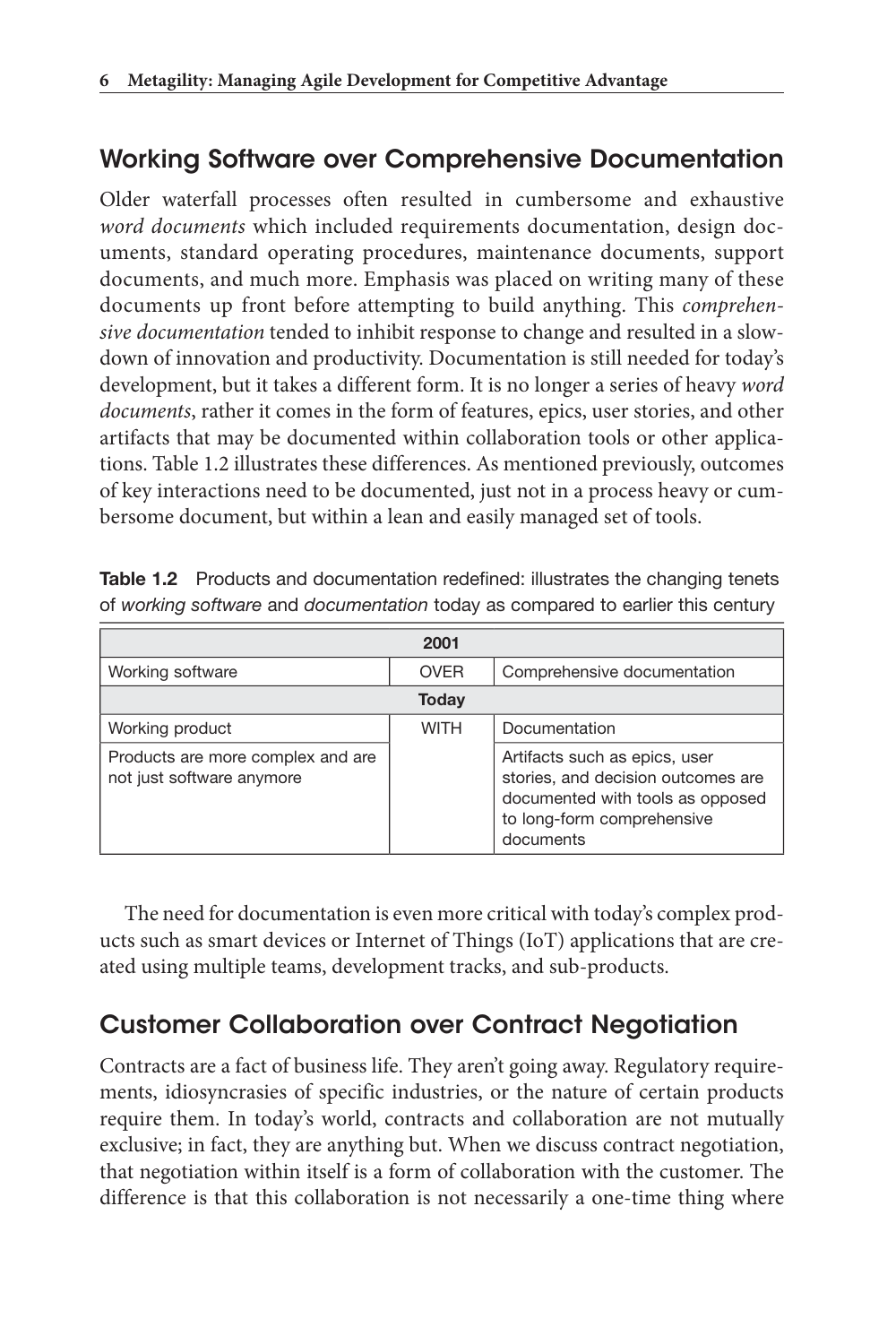#### Working Software over Comprehensive Documentation

Older waterfall processes often resulted in cumbersome and exhaustive *word documents* which included requirements documentation, design documents, standard operating procedures, maintenance documents, support documents, and much more. Emphasis was placed on writing many of these documents up front before attempting to build anything. This *comprehensive documentation* tended to inhibit response to change and resulted in a slowdown of innovation and productivity. Documentation is still needed for today's development, but it takes a different form. It is no longer a series of heavy *word documents*, rather it comes in the form of features, epics, user stories, and other artifacts that may be documented within collaboration tools or other applications. Table 1.2 illustrates these differences. As mentioned previously, outcomes of key interactions need to be documented, just not in a process heavy or cumbersome document, but within a lean and easily managed set of tools.

| 2001                                                           |             |                                                                                                                                                    |  |
|----------------------------------------------------------------|-------------|----------------------------------------------------------------------------------------------------------------------------------------------------|--|
| Working software                                               | <b>OVER</b> | Comprehensive documentation                                                                                                                        |  |
| Today                                                          |             |                                                                                                                                                    |  |
| Working product                                                | <b>WITH</b> | Documentation                                                                                                                                      |  |
| Products are more complex and are<br>not just software anymore |             | Artifacts such as epics, user<br>stories, and decision outcomes are<br>documented with tools as opposed<br>to long-form comprehensive<br>documents |  |

**Table 1.2** Products and documentation redefined: illustrates the changing tenets of *working software* and *documentation* today as compared to earlier this century

The need for documentation is even more critical with today's complex products such as smart devices or Internet of Things (IoT) applications that are created using multiple teams, development tracks, and sub-products.

#### Customer Collaboration over Contract Negotiation

Contracts are a fact of business life. They aren't going away. Regulatory requirements, idiosyncrasies of specific industries, or the nature of certain products require them. In today's world, contracts and collaboration are not mutually exclusive; in fact, they are anything but. When we discuss contract negotiation, that negotiation within itself is a form of collaboration with the customer. The difference is that this collaboration is not necessarily a one-time thing where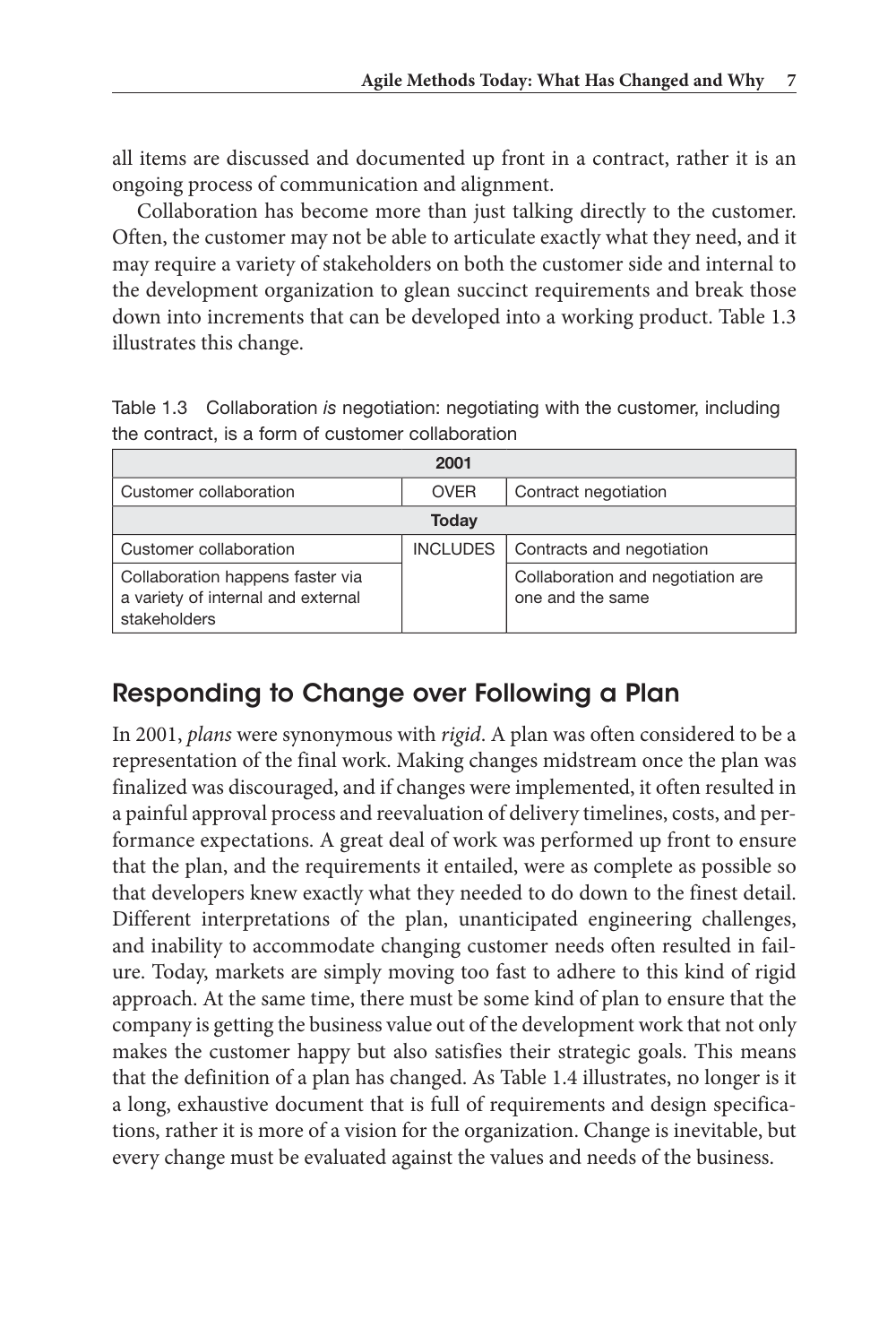all items are discussed and documented up front in a contract, rather it is an ongoing process of communication and alignment.

Collaboration has become more than just talking directly to the customer. Often, the customer may not be able to articulate exactly what they need, and it may require a variety of stakeholders on both the customer side and internal to the development organization to glean succinct requirements and break those down into increments that can be developed into a working product. Table 1.3 illustrates this change.

Table 1.3 Collaboration *is* negotiation: negotiating with the customer, including the contract, is a form of customer collaboration

| 2001                                                                                   |                 |                                                       |  |
|----------------------------------------------------------------------------------------|-----------------|-------------------------------------------------------|--|
| Customer collaboration                                                                 | <b>OVER</b>     | Contract negotiation                                  |  |
| <b>Today</b>                                                                           |                 |                                                       |  |
| Customer collaboration                                                                 | <b>INCLUDES</b> | Contracts and negotiation                             |  |
| Collaboration happens faster via<br>a variety of internal and external<br>stakeholders |                 | Collaboration and negotiation are<br>one and the same |  |

#### Responding to Change over Following a Plan

In 2001, *plans* were synonymous with *rigid*. A plan was often considered to be a representation of the final work. Making changes midstream once the plan was finalized was discouraged, and if changes were implemented, it often resulted in a painful approval process and reevaluation of delivery timelines, costs, and performance expectations. A great deal of work was performed up front to ensure that the plan, and the requirements it entailed, were as complete as possible so that developers knew exactly what they needed to do down to the finest detail. Different interpretations of the plan, unanticipated engineering challenges, and inability to accommodate changing customer needs often resulted in failure. Today, markets are simply moving too fast to adhere to this kind of rigid approach. At the same time, there must be some kind of plan to ensure that the company is getting the business value out of the development work that not only makes the customer happy but also satisfies their strategic goals. This means that the definition of a plan has changed. As Table 1.4 illustrates, no longer is it a long, exhaustive document that is full of requirements and design specifications, rather it is more of a vision for the organization. Change is inevitable, but every change must be evaluated against the values and needs of the business.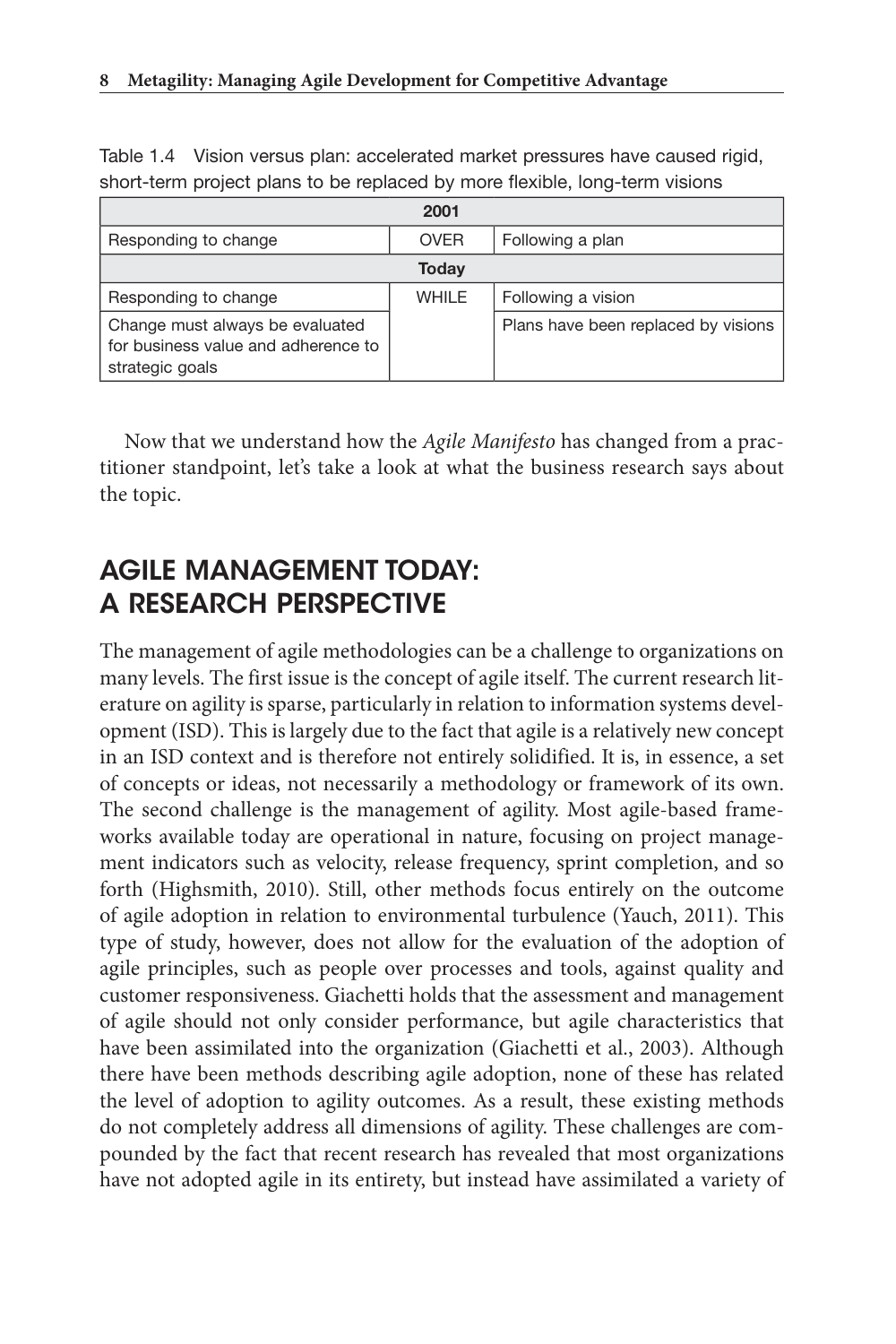Table 1.4 Vision versus plan: accelerated market pressures have caused rigid, short-term project plans to be replaced by more flexible, long-term visions

| 2001                                                                                      |             |                                     |  |
|-------------------------------------------------------------------------------------------|-------------|-------------------------------------|--|
| Responding to change                                                                      | <b>OVER</b> | Following a plan                    |  |
| <b>Todav</b>                                                                              |             |                                     |  |
| Responding to change                                                                      | WHII F      | Following a vision                  |  |
| Change must always be evaluated<br>for business value and adherence to<br>strategic goals |             | Plans have been replaced by visions |  |

Now that we understand how the *Agile Manifesto* has changed from a practitioner standpoint, let's take a look at what the business research says about the topic.

#### AGILE MANAGEMENT TODAY: A RESEARCH PERSPECTIVE

The management of agile methodologies can be a challenge to organizations on many levels. The first issue is the concept of agile itself. The current research literature on agility is sparse, particularly in relation to information systems development (ISD). This is largely due to the fact that agile is a relatively new concept in an ISD context and is therefore not entirely solidified. It is, in essence, a set of concepts or ideas, not necessarily a methodology or framework of its own. The second challenge is the management of agility. Most agile-based frameworks available today are operational in nature, focusing on project management indicators such as velocity, release frequency, sprint completion, and so forth (Highsmith, 2010). Still, other methods focus entirely on the outcome of agile adoption in relation to environmental turbulence (Yauch, 2011). This type of study, however, does not allow for the evaluation of the adoption of agile principles, such as people over processes and tools, against quality and customer responsiveness. Giachetti holds that the assessment and management of agile should not only consider performance, but agile characteristics that have been assimilated into the organization (Giachetti et al., 2003). Although there have been methods describing agile adoption, none of these has related the level of adoption to agility outcomes. As a result, these existing methods do not completely address all dimensions of agility. These challenges are compounded by the fact that recent research has revealed that most organizations have not adopted agile in its entirety, but instead have assimilated a variety of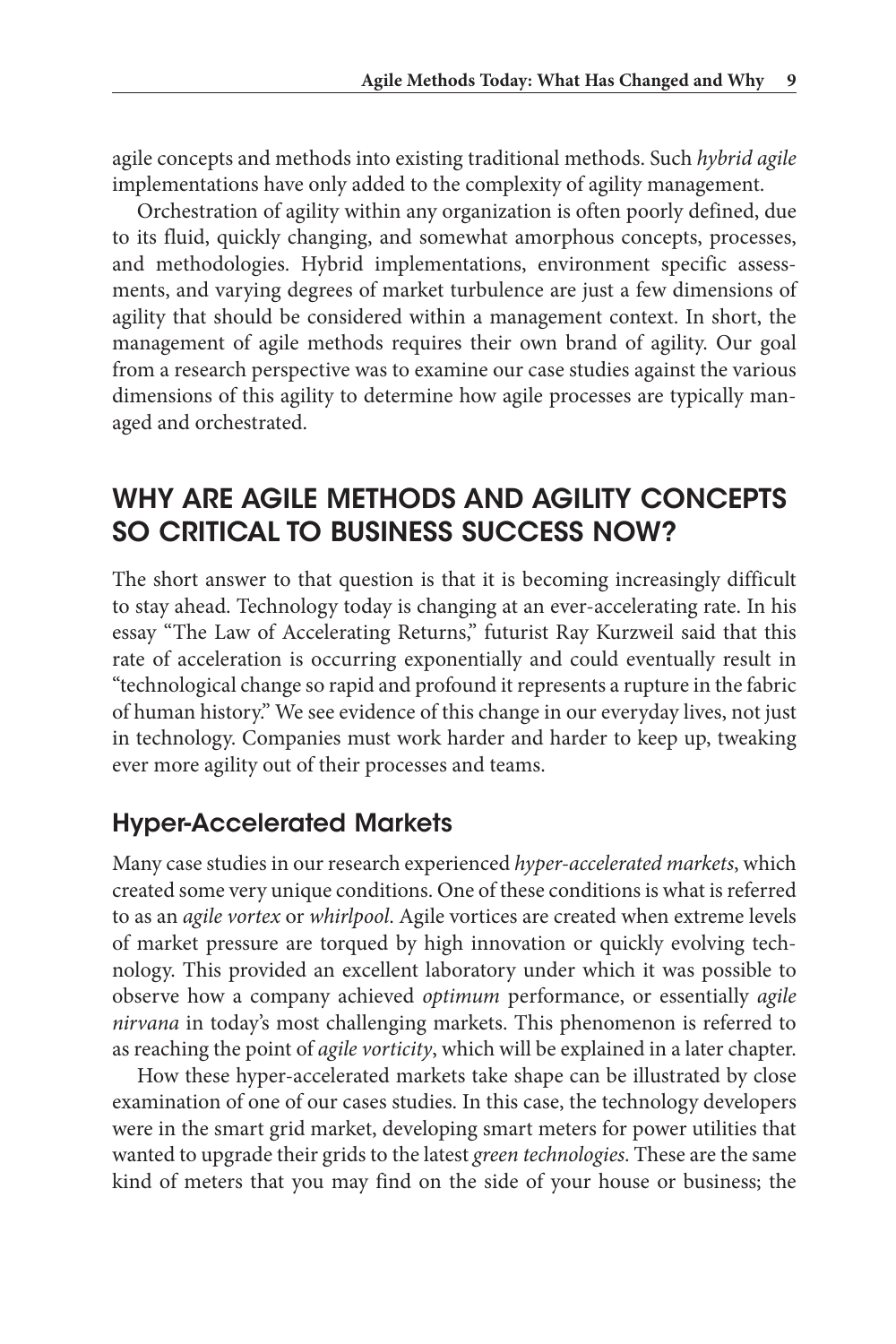agile concepts and methods into existing traditional methods. Such *hybrid agile*  implementations have only added to the complexity of agility management.

Orchestration of agility within any organization is often poorly defined, due to its fluid, quickly changing, and somewhat amorphous concepts, processes, and methodologies. Hybrid implementations, environment specific assessments, and varying degrees of market turbulence are just a few dimensions of agility that should be considered within a management context. In short, the management of agile methods requires their own brand of agility. Our goal from a research perspective was to examine our case studies against the various dimensions of this agility to determine how agile processes are typically managed and orchestrated.

#### WHY ARE AGILE METHODS AND AGILITY CONCEPTS SO CRITICAL TO BUSINESS SUCCESS NOW?

The short answer to that question is that it is becoming increasingly difficult to stay ahead. Technology today is changing at an ever-accelerating rate. In his essay "The Law of Accelerating Returns," futurist Ray Kurzweil said that this rate of acceleration is occurring exponentially and could eventually result in "technological change so rapid and profound it represents a rupture in the fabric of human history." We see evidence of this change in our everyday lives, not just in technology. Companies must work harder and harder to keep up, tweaking ever more agility out of their processes and teams.

#### Hyper-Accelerated Markets

Many case studies in our research experienced *hyper-accelerated markets*, which created some very unique conditions. One of these conditions is what is referred to as an *agile vortex* or *whirlpool*. Agile vortices are created when extreme levels of market pressure are torqued by high innovation or quickly evolving technology. This provided an excellent laboratory under which it was possible to observe how a company achieved *optimum* performance, or essentially *agile nirvana* in today's most challenging markets. This phenomenon is referred to as reaching the point of *agile vorticity*, which will be explained in a later chapter.

How these hyper-accelerated markets take shape can be illustrated by close examination of one of our cases studies. In this case, the technology developers were in the smart grid market, developing smart meters for power utilities that wanted to upgrade their grids to the latest *green technologies*. These are the same kind of meters that you may find on the side of your house or business; the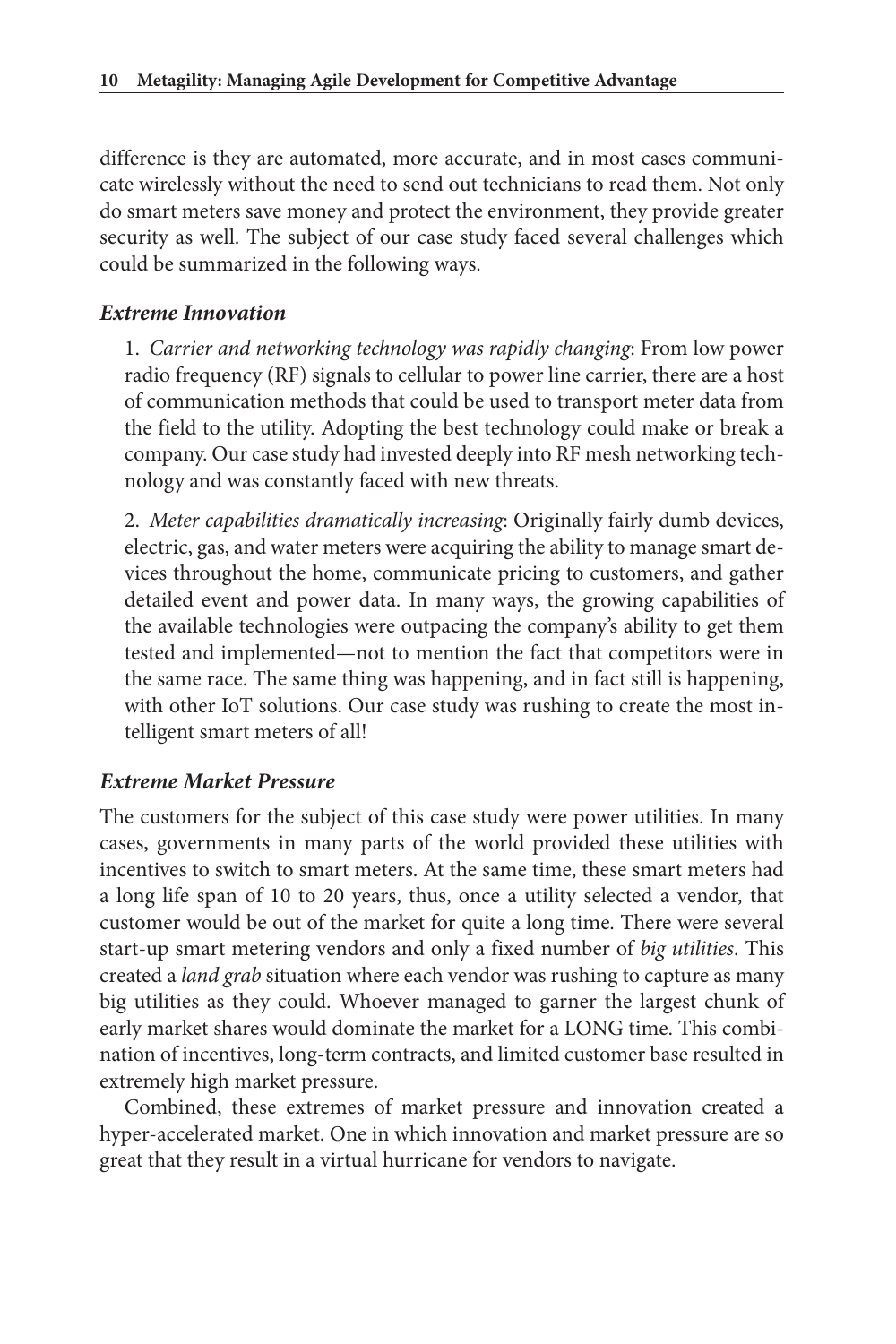difference is they are automated, more accurate, and in most cases communicate wirelessly without the need to send out technicians to read them. Not only do smart meters save money and protect the environment, they provide greater security as well. The subject of our case study faced several challenges which could be summarized in the following ways.

#### *Extreme Innovation*

1. *Carrier and networking technology was rapidly changing*: From low power radio frequency (RF) signals to cellular to power line carrier, there are a host of communication methods that could be used to transport meter data from the field to the utility. Adopting the best technology could make or break a company. Our case study had invested deeply into RF mesh networking technology and was constantly faced with new threats.

2. *Meter capabilities dramatically increasing*: Originally fairly dumb devices, electric, gas, and water meters were acquiring the ability to manage smart devices throughout the home, communicate pricing to customers, and gather detailed event and power data. In many ways, the growing capabilities of the available technologies were outpacing the company's ability to get them tested and implemented—not to mention the fact that competitors were in the same race. The same thing was happening, and in fact still is happening, with other IoT solutions. Our case study was rushing to create the most intelligent smart meters of all!

#### *Extreme Market Pressure*

The customers for the subject of this case study were power utilities. In many cases, governments in many parts of the world provided these utilities with incentives to switch to smart meters. At the same time, these smart meters had a long life span of 10 to 20 years, thus, once a utility selected a vendor, that customer would be out of the market for quite a long time. There were several start-up smart metering vendors and only a fixed number of *big utilities*. This created a *land grab* situation where each vendor was rushing to capture as many big utilities as they could. Whoever managed to garner the largest chunk of early market shares would dominate the market for a LONG time. This combination of incentives, long-term contracts, and limited customer base resulted in extremely high market pressure.

Combined, these extremes of market pressure and innovation created a hyper-accelerated market. One in which innovation and market pressure are so great that they result in a virtual hurricane for vendors to navigate.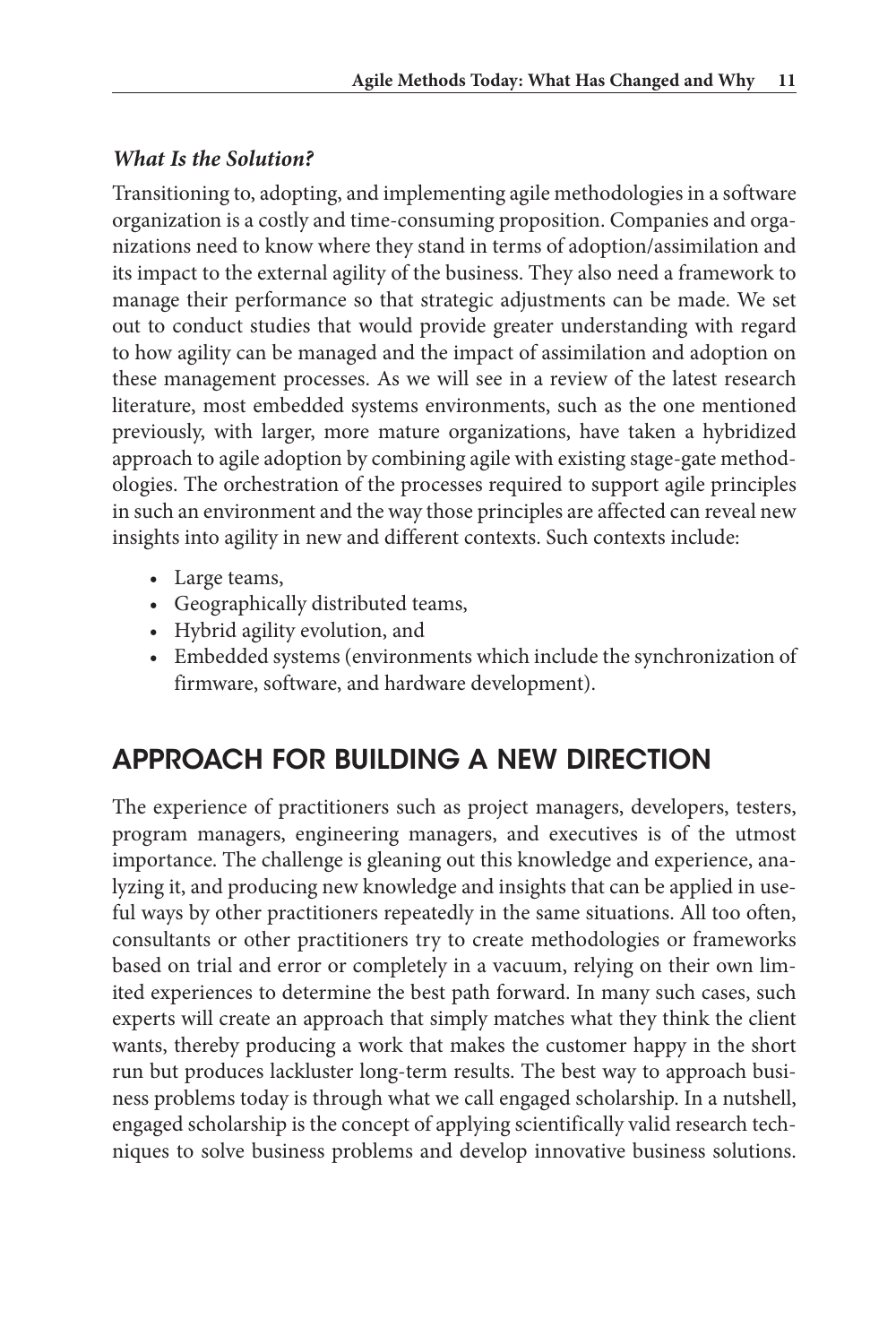#### *What Is the Solution?*

Transitioning to, adopting, and implementing agile methodologies in a software organization is a costly and time-consuming proposition. Companies and organizations need to know where they stand in terms of adoption/assimilation and its impact to the external agility of the business. They also need a framework to manage their performance so that strategic adjustments can be made. We set out to conduct studies that would provide greater understanding with regard to how agility can be managed and the impact of assimilation and adoption on these management processes. As we will see in a review of the latest research literature, most embedded systems environments, such as the one mentioned previously, with larger, more mature organizations, have taken a hybridized approach to agile adoption by combining agile with existing stage-gate methodologies. The orchestration of the processes required to support agile principles in such an environment and the way those principles are affected can reveal new insights into agility in new and different contexts. Such contexts include:

- Large teams,
- Geographically distributed teams,
- Hybrid agility evolution, and
- Embedded systems (environments which include the synchronization of firmware, software, and hardware development).

#### APPROACH FOR BUILDING A NEW DIRECTION

The experience of practitioners such as project managers, developers, testers, program managers, engineering managers, and executives is of the utmost importance. The challenge is gleaning out this knowledge and experience, analyzing it, and producing new knowledge and insights that can be applied in useful ways by other practitioners repeatedly in the same situations. All too often, consultants or other practitioners try to create methodologies or frameworks based on trial and error or completely in a vacuum, relying on their own limited experiences to determine the best path forward. In many such cases, such experts will create an approach that simply matches what they think the client wants, thereby producing a work that makes the customer happy in the short run but produces lackluster long-term results. The best way to approach business problems today is through what we call engaged scholarship. In a nutshell, engaged scholarship is the concept of applying scientifically valid research techniques to solve business problems and develop innovative business solutions.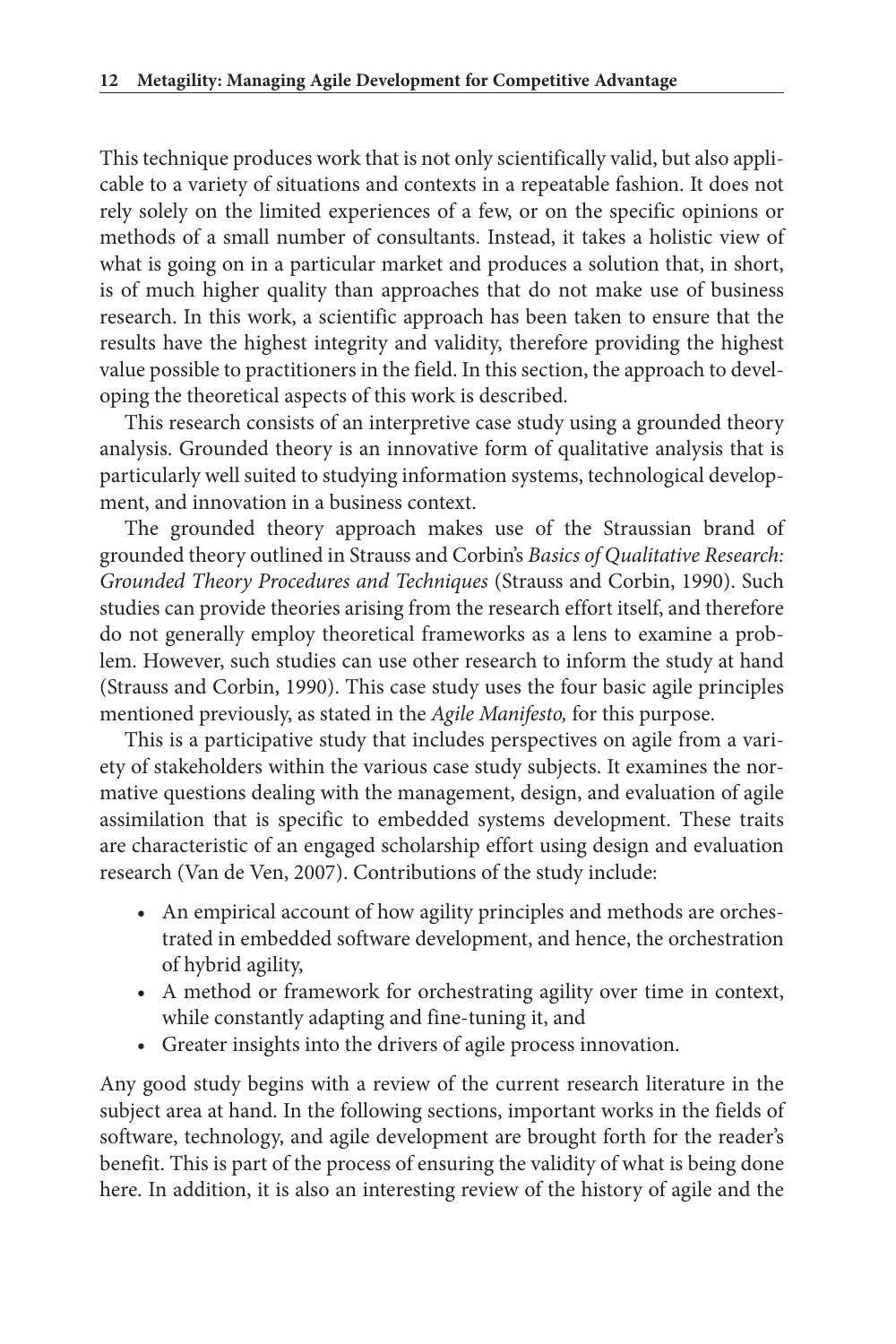This technique produces work that is not only scientifically valid, but also applicable to a variety of situations and contexts in a repeatable fashion. It does not rely solely on the limited experiences of a few, or on the specific opinions or methods of a small number of consultants. Instead, it takes a holistic view of what is going on in a particular market and produces a solution that, in short, is of much higher quality than approaches that do not make use of business research. In this work, a scientific approach has been taken to ensure that the results have the highest integrity and validity, therefore providing the highest value possible to practitioners in the field. In this section, the approach to developing the theoretical aspects of this work is described.

This research consists of an interpretive case study using a grounded theory analysis. Grounded theory is an innovative form of qualitative analysis that is particularly well suited to studying information systems, technological development, and innovation in a business context.

The grounded theory approach makes use of the Straussian brand of grounded theory outlined in Strauss and Corbin's *Basics of Qualitative Research: Grounded Theory Procedures and Techniques* (Strauss and Corbin, 1990). Such studies can provide theories arising from the research effort itself, and therefore do not generally employ theoretical frameworks as a lens to examine a problem. However, such studies can use other research to inform the study at hand (Strauss and Corbin, 1990). This case study uses the four basic agile principles mentioned previously, as stated in the *Agile Manifesto,* for this purpose.

This is a participative study that includes perspectives on agile from a variety of stakeholders within the various case study subjects. It examines the normative questions dealing with the management, design, and evaluation of agile assimilation that is specific to embedded systems development. These traits are characteristic of an engaged scholarship effort using design and evaluation research (Van de Ven, 2007). Contributions of the study include:

- An empirical account of how agility principles and methods are orchestrated in embedded software development, and hence, the orchestration of hybrid agility,
- A method or framework for orchestrating agility over time in context, while constantly adapting and fine-tuning it, and
- Greater insights into the drivers of agile process innovation.

Any good study begins with a review of the current research literature in the subject area at hand. In the following sections, important works in the fields of software, technology, and agile development are brought forth for the reader's benefit. This is part of the process of ensuring the validity of what is being done here. In addition, it is also an interesting review of the history of agile and the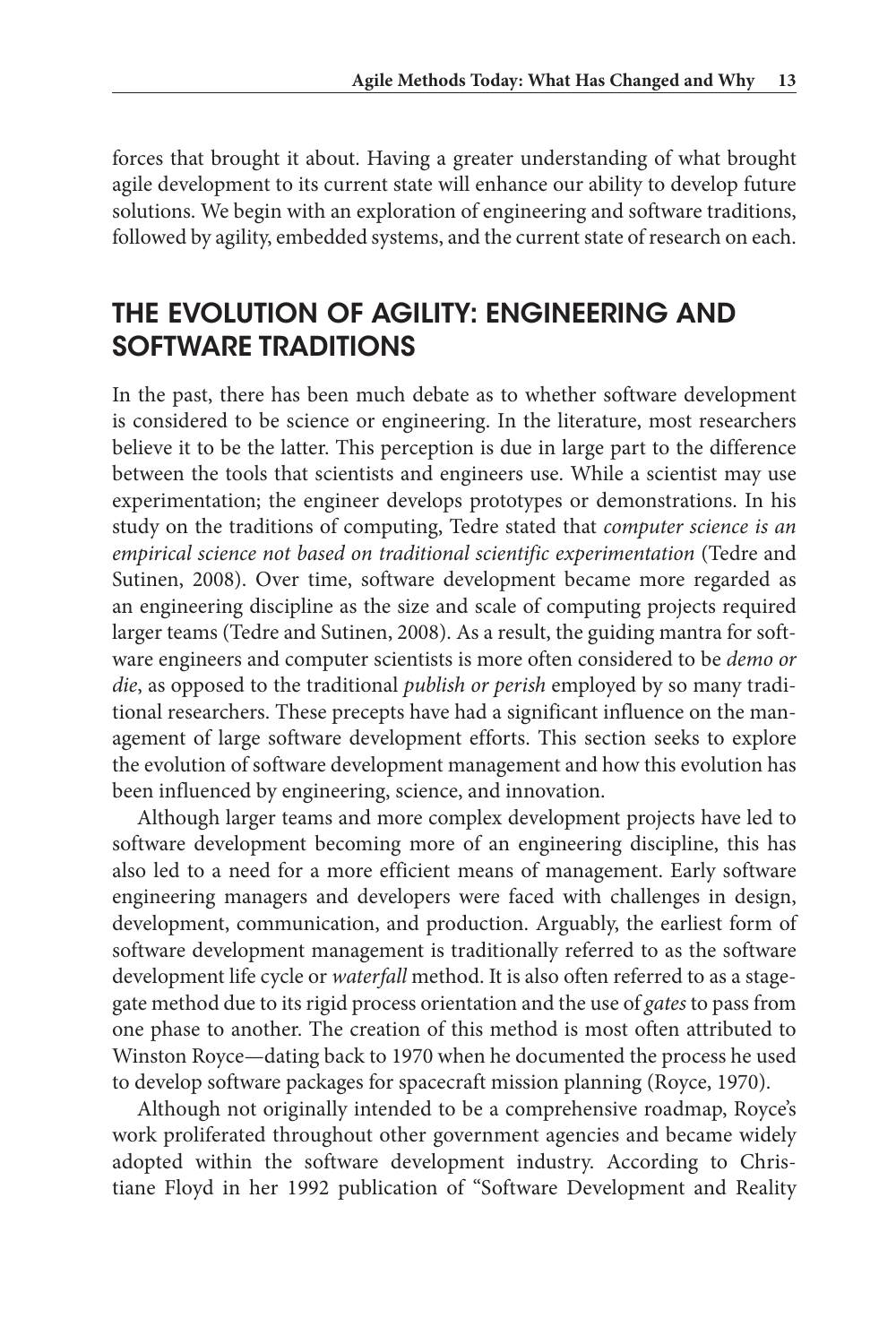forces that brought it about. Having a greater understanding of what brought agile development to its current state will enhance our ability to develop future solutions. We begin with an exploration of engineering and software traditions, followed by agility, embedded systems, and the current state of research on each.

#### THE EVOLUTION OF AGILITY: ENGINEERING AND SOFTWARE TRADITIONS

In the past, there has been much debate as to whether software development is considered to be science or engineering. In the literature, most researchers believe it to be the latter. This perception is due in large part to the difference between the tools that scientists and engineers use. While a scientist may use experimentation; the engineer develops prototypes or demonstrations. In his study on the traditions of computing, Tedre stated that *computer science is an empirical science not based on traditional scientific experimentation* (Tedre and Sutinen, 2008). Over time, software development became more regarded as an engineering discipline as the size and scale of computing projects required larger teams (Tedre and Sutinen, 2008). As a result, the guiding mantra for software engineers and computer scientists is more often considered to be *demo or die*, as opposed to the traditional *publish or perish* employed by so many traditional researchers. These precepts have had a significant influence on the management of large software development efforts. This section seeks to explore the evolution of software development management and how this evolution has been influenced by engineering, science, and innovation.

Although larger teams and more complex development projects have led to software development becoming more of an engineering discipline, this has also led to a need for a more efficient means of management. Early software engineering managers and developers were faced with challenges in design, development, communication, and production. Arguably, the earliest form of software development management is traditionally referred to as the software development life cycle or *waterfall* method. It is also often referred to as a stagegate method due to its rigid process orientation and the use of *gates* to pass from one phase to another. The creation of this method is most often attributed to Winston Royce—dating back to 1970 when he documented the process he used to develop software packages for spacecraft mission planning (Royce, 1970).

Although not originally intended to be a comprehensive roadmap, Royce's work proliferated throughout other government agencies and became widely adopted within the software development industry. According to Christiane Floyd in her 1992 publication of "Software Development and Reality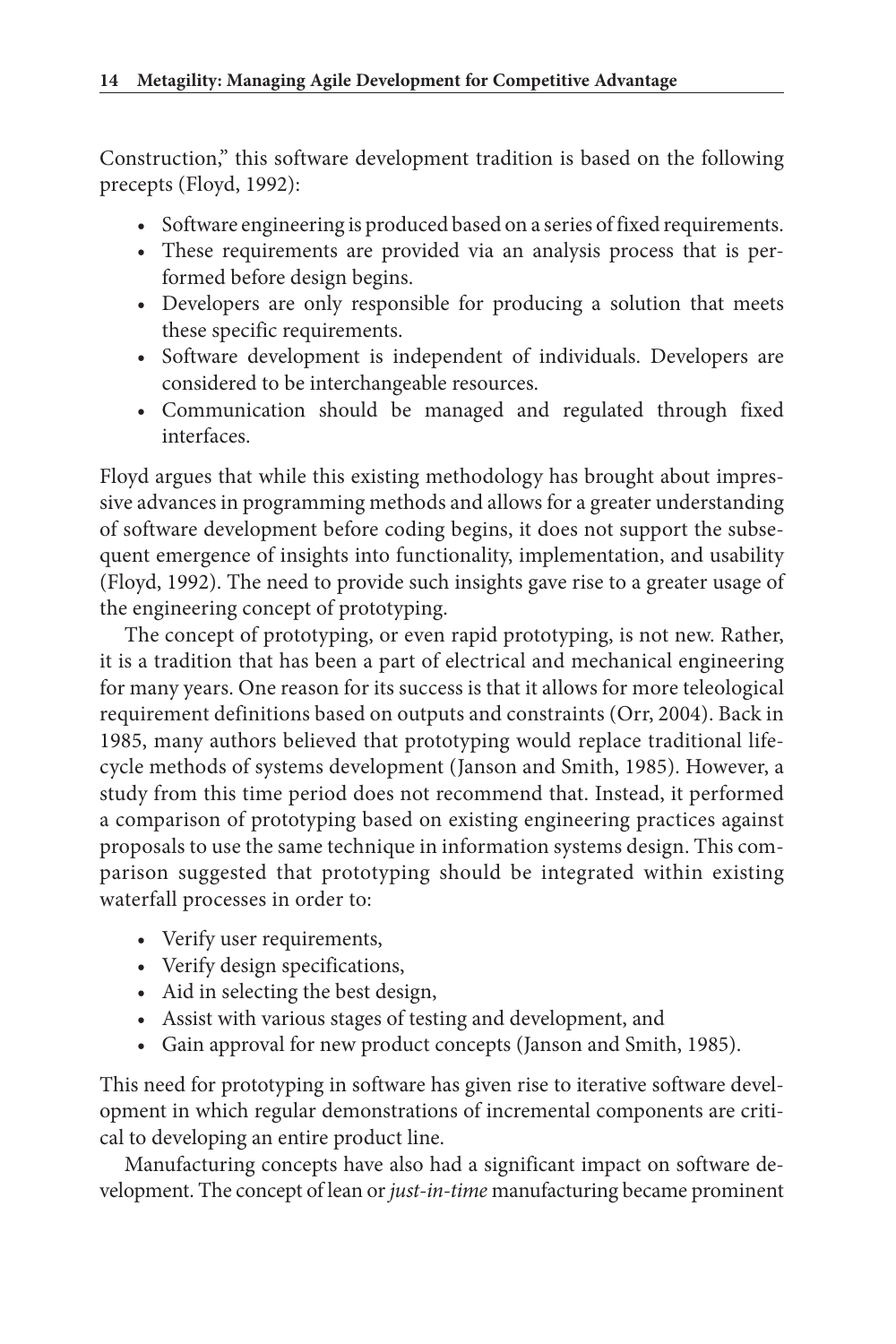Construction," this software development tradition is based on the following precepts (Floyd, 1992):

- Software engineering is produced based on a series of fixed requirements.
- These requirements are provided via an analysis process that is performed before design begins.
- Developers are only responsible for producing a solution that meets these specific requirements.
- Software development is independent of individuals. Developers are considered to be interchangeable resources.
- Communication should be managed and regulated through fixed interfaces.

Floyd argues that while this existing methodology has brought about impressive advances in programming methods and allows for a greater understanding of software development before coding begins, it does not support the subsequent emergence of insights into functionality, implementation, and usability (Floyd, 1992). The need to provide such insights gave rise to a greater usage of the engineering concept of prototyping.

The concept of prototyping, or even rapid prototyping, is not new. Rather, it is a tradition that has been a part of electrical and mechanical engineering for many years. One reason for its success is that it allows for more teleological requirement definitions based on outputs and constraints (Orr, 2004). Back in 1985, many authors believed that prototyping would replace traditional lifecycle methods of systems development (Janson and Smith, 1985). However, a study from this time period does not recommend that. Instead, it performed a comparison of prototyping based on existing engineering practices against proposals to use the same technique in information systems design. This comparison suggested that prototyping should be integrated within existing waterfall processes in order to:

- Verify user requirements,
- Verify design specifications,
- Aid in selecting the best design,
- Assist with various stages of testing and development, and
- Gain approval for new product concepts (Janson and Smith, 1985).

This need for prototyping in software has given rise to iterative software development in which regular demonstrations of incremental components are critical to developing an entire product line.

Manufacturing concepts have also had a significant impact on software development. The concept of lean or *just-in-time* manufacturing became prominent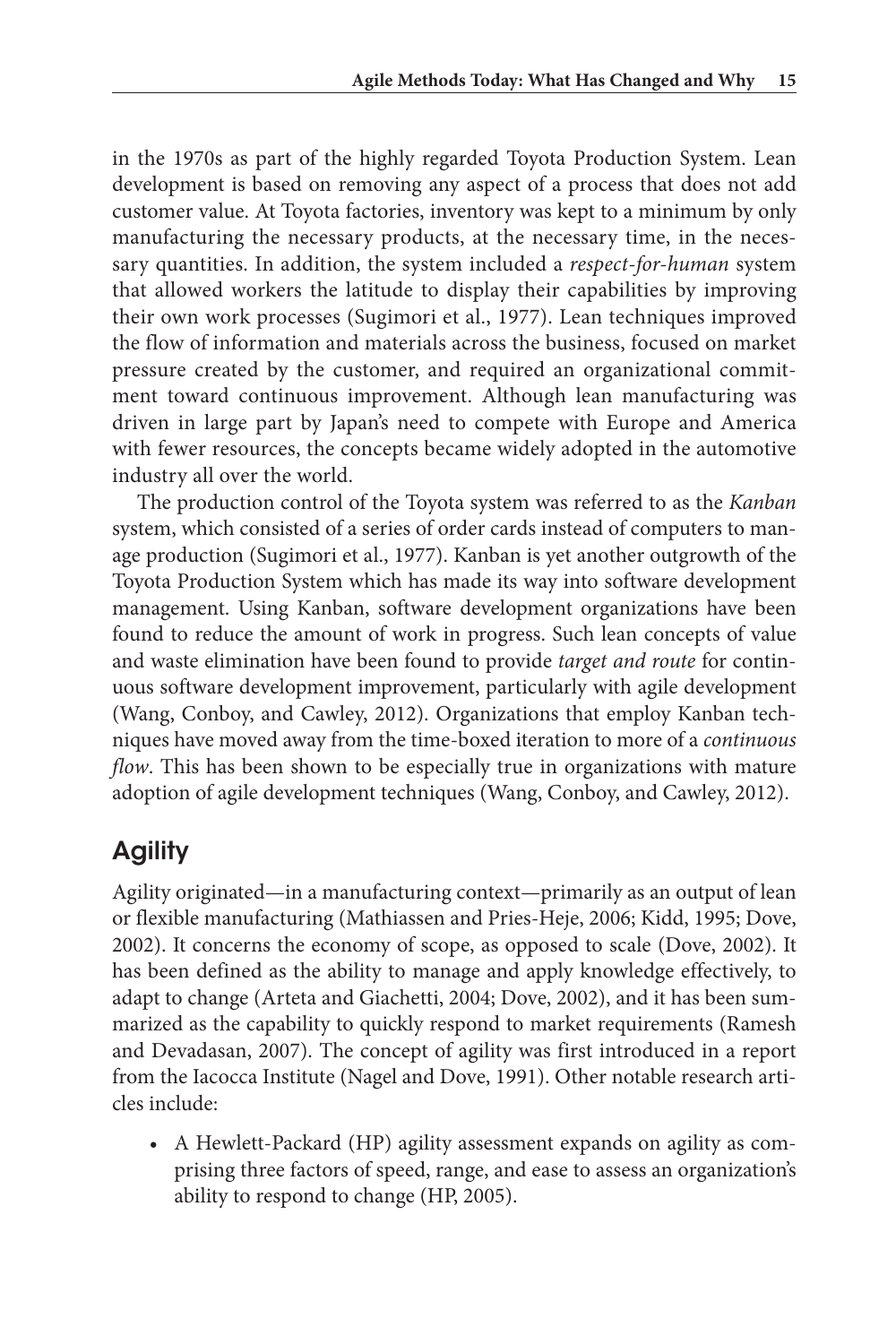in the 1970s as part of the highly regarded Toyota Production System. Lean development is based on removing any aspect of a process that does not add customer value. At Toyota factories, inventory was kept to a minimum by only manufacturing the necessary products, at the necessary time, in the necessary quantities. In addition, the system included a *respect-for-human* system that allowed workers the latitude to display their capabilities by improving their own work processes (Sugimori et al., 1977). Lean techniques improved the flow of information and materials across the business, focused on market pressure created by the customer, and required an organizational commitment toward continuous improvement. Although lean manufacturing was driven in large part by Japan's need to compete with Europe and America with fewer resources, the concepts became widely adopted in the automotive industry all over the world.

The production control of the Toyota system was referred to as the *Kanban*  system, which consisted of a series of order cards instead of computers to manage production (Sugimori et al., 1977). Kanban is yet another outgrowth of the Toyota Production System which has made its way into software development management. Using Kanban, software development organizations have been found to reduce the amount of work in progress. Such lean concepts of value and waste elimination have been found to provide *target and route* for continuous software development improvement, particularly with agile development (Wang, Conboy, and Cawley, 2012). Organizations that employ Kanban techniques have moved away from the time-boxed iteration to more of a *continuous flow*. This has been shown to be especially true in organizations with mature adoption of agile development techniques (Wang, Conboy, and Cawley, 2012).

#### Agility

Agility originated—in a manufacturing context—primarily as an output of lean or flexible manufacturing (Mathiassen and Pries-Heje, 2006; Kidd, 1995; Dove, 2002). It concerns the economy of scope, as opposed to scale (Dove, 2002). It has been defined as the ability to manage and apply knowledge effectively, to adapt to change (Arteta and Giachetti, 2004; Dove, 2002), and it has been summarized as the capability to quickly respond to market requirements (Ramesh and Devadasan, 2007). The concept of agility was first introduced in a report from the Iacocca Institute (Nagel and Dove, 1991). Other notable research articles include:

• A Hewlett-Packard (HP) agility assessment expands on agility as comprising three factors of speed, range, and ease to assess an organization's ability to respond to change (HP, 2005).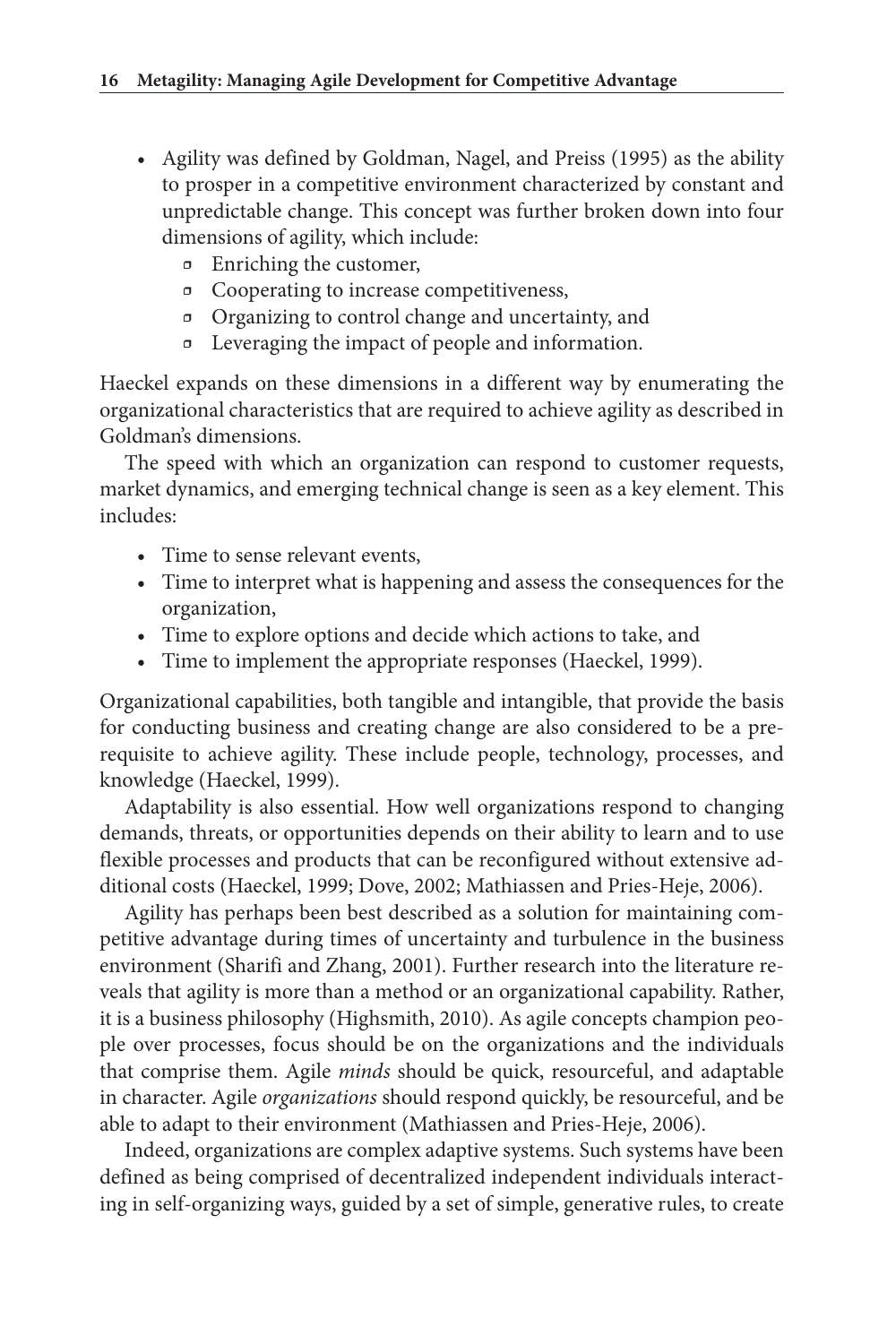- Agility was defined by Goldman, Nagel, and Preiss (1995) as the ability to prosper in a competitive environment characterized by constant and unpredictable change. This concept was further broken down into four dimensions of agility, which include:
	- □ Enriching the customer,
	- □ Cooperating to increase competitiveness,
	- ӽ Organizing to control change and uncertainty, and
	- ӽ Leveraging the impact of people and information.

Haeckel expands on these dimensions in a different way by enumerating the organizational characteristics that are required to achieve agility as described in Goldman's dimensions.

The speed with which an organization can respond to customer requests, market dynamics, and emerging technical change is seen as a key element. This includes:

- Time to sense relevant events,
- Time to interpret what is happening and assess the consequences for the organization,
- Time to explore options and decide which actions to take, and
- Time to implement the appropriate responses (Haeckel, 1999).

Organizational capabilities, both tangible and intangible, that provide the basis for conducting business and creating change are also considered to be a prerequisite to achieve agility. These include people, technology, processes, and knowledge (Haeckel, 1999).

Adaptability is also essential. How well organizations respond to changing demands, threats, or opportunities depends on their ability to learn and to use flexible processes and products that can be reconfigured without extensive additional costs (Haeckel, 1999; Dove, 2002; Mathiassen and Pries-Heje, 2006).

Agility has perhaps been best described as a solution for maintaining competitive advantage during times of uncertainty and turbulence in the business environment (Sharifi and Zhang, 2001). Further research into the literature reveals that agility is more than a method or an organizational capability. Rather, it is a business philosophy (Highsmith, 2010). As agile concepts champion people over processes, focus should be on the organizations and the individuals that comprise them. Agile *minds* should be quick, resourceful, and adaptable in character. Agile *organizations* should respond quickly, be resourceful, and be able to adapt to their environment (Mathiassen and Pries-Heje, 2006).

Indeed, organizations are complex adaptive systems. Such systems have been defined as being comprised of decentralized independent individuals interacting in self-organizing ways, guided by a set of simple, generative rules, to create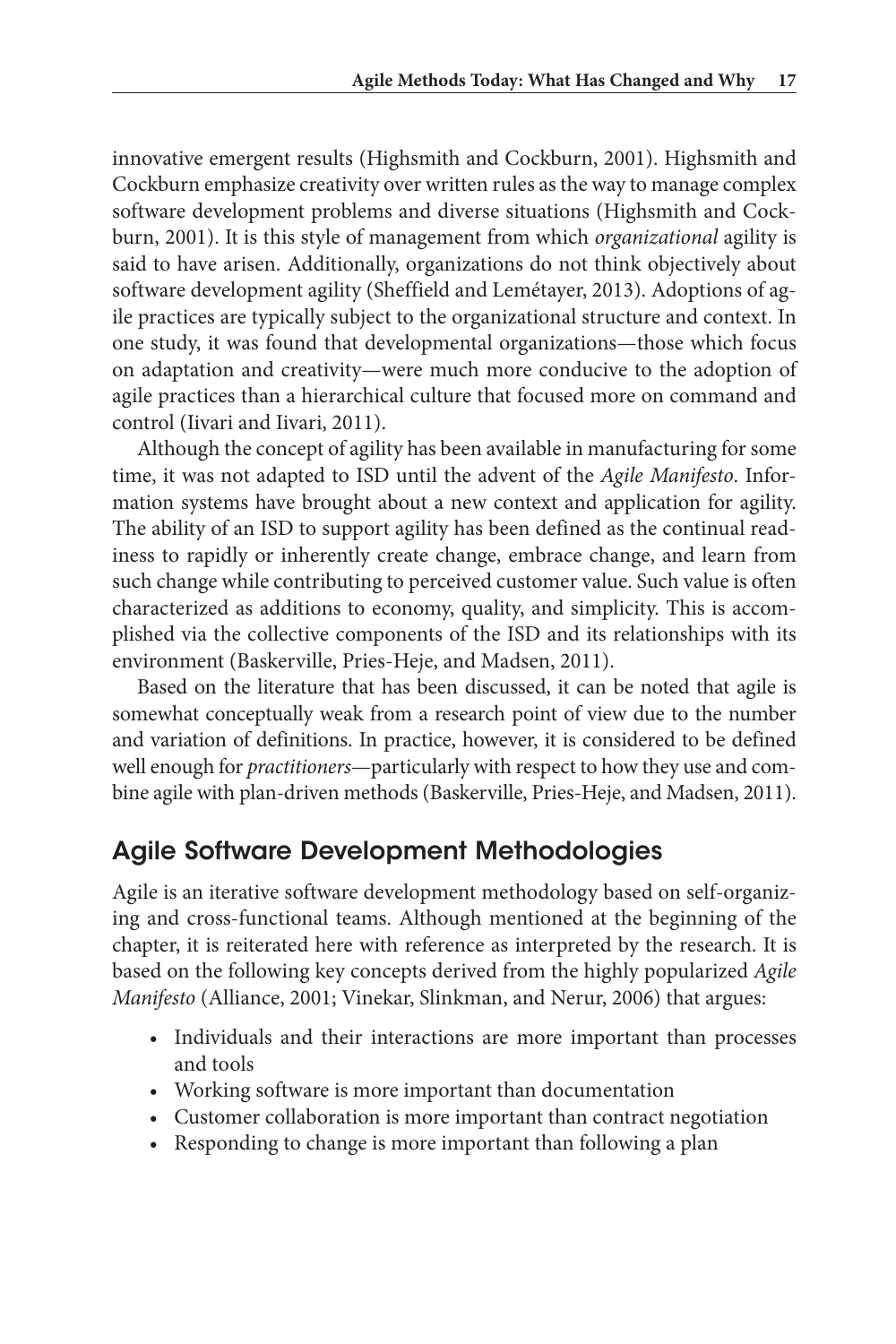innovative emergent results (Highsmith and Cockburn, 2001). Highsmith and Cockburn emphasize creativity over written rules as the way to manage complex software development problems and diverse situations (Highsmith and Cockburn, 2001). It is this style of management from which *organizational* agility is said to have arisen. Additionally, organizations do not think objectively about software development agility (Sheffield and Lemétayer, 2013). Adoptions of agile practices are typically subject to the organizational structure and context. In one study, it was found that developmental organizations—those which focus on adaptation and creativity—were much more conducive to the adoption of agile practices than a hierarchical culture that focused more on command and control (Iivari and Iivari, 2011).

Although the concept of agility has been available in manufacturing for some time, it was not adapted to ISD until the advent of the *Agile Manifesto*. Information systems have brought about a new context and application for agility. The ability of an ISD to support agility has been defined as the continual readiness to rapidly or inherently create change, embrace change, and learn from such change while contributing to perceived customer value. Such value is often characterized as additions to economy, quality, and simplicity. This is accomplished via the collective components of the ISD and its relationships with its environment (Baskerville, Pries-Heje, and Madsen, 2011).

Based on the literature that has been discussed, it can be noted that agile is somewhat conceptually weak from a research point of view due to the number and variation of definitions. In practice, however, it is considered to be defined well enough for *practitioners*—particularly with respect to how they use and combine agile with plan-driven methods (Baskerville, Pries-Heje, and Madsen, 2011).

#### Agile Software Development Methodologies

Agile is an iterative software development methodology based on self-organizing and cross-functional teams. Although mentioned at the beginning of the chapter, it is reiterated here with reference as interpreted by the research. It is based on the following key concepts derived from the highly popularized *Agile Manifesto* (Alliance, 2001; Vinekar, Slinkman, and Nerur, 2006) that argues:

- Individuals and their interactions are more important than processes and tools
- Working software is more important than documentation
- Customer collaboration is more important than contract negotiation
- Responding to change is more important than following a plan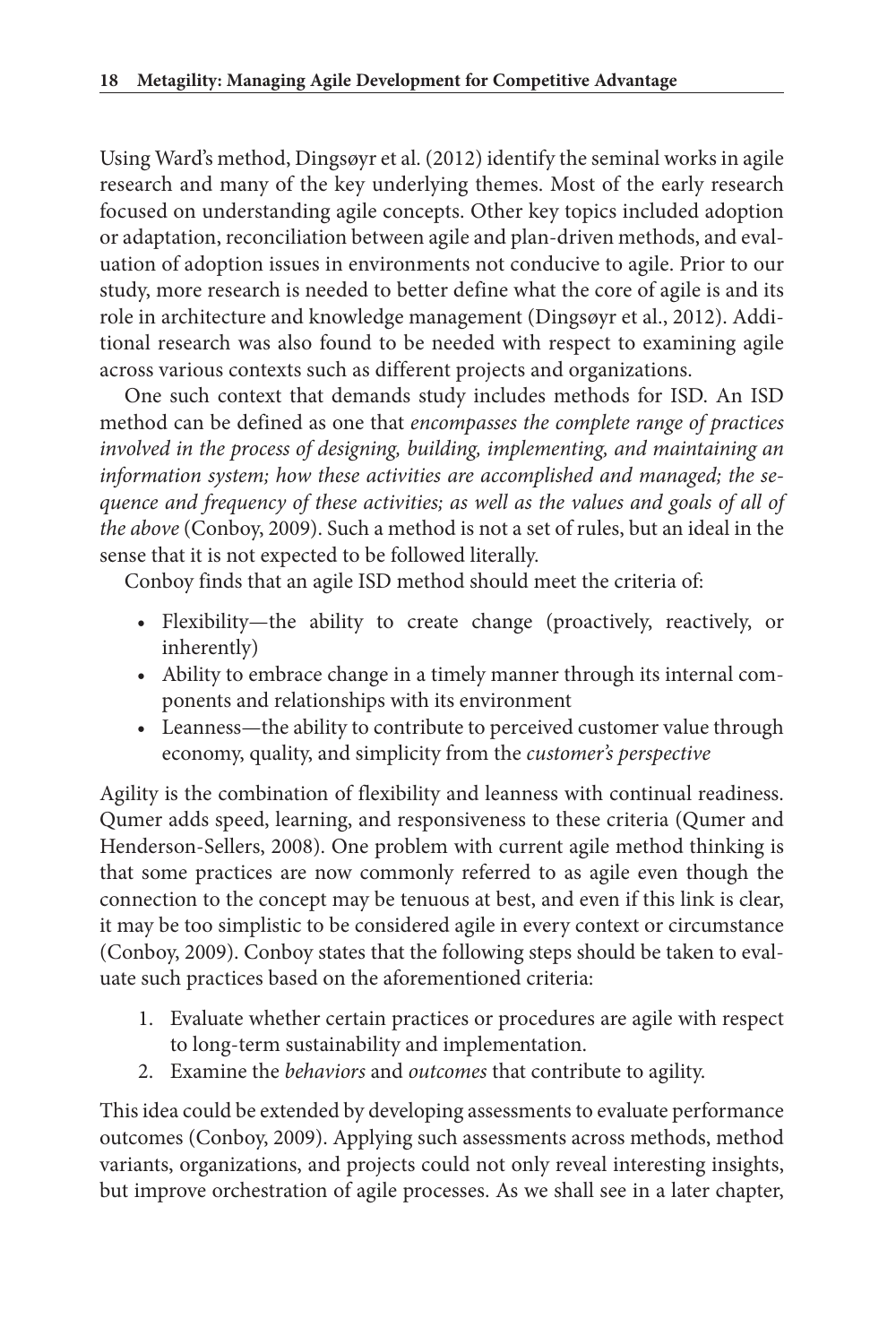Using Ward's method, Dingsøyr et al. (2012) identify the seminal works in agile research and many of the key underlying themes. Most of the early research focused on understanding agile concepts. Other key topics included adoption or adaptation, reconciliation between agile and plan-driven methods, and evaluation of adoption issues in environments not conducive to agile. Prior to our study, more research is needed to better define what the core of agile is and its role in architecture and knowledge management (Dingsøyr et al., 2012). Additional research was also found to be needed with respect to examining agile across various contexts such as different projects and organizations.

One such context that demands study includes methods for ISD. An ISD method can be defined as one that *encompasses the complete range of practices involved in the process of designing, building, implementing, and maintaining an information system; how these activities are accomplished and managed; the sequence and frequency of these activities; as well as the values and goals of all of the above* (Conboy, 2009). Such a method is not a set of rules, but an ideal in the sense that it is not expected to be followed literally.

Conboy finds that an agile ISD method should meet the criteria of:

- Flexibility—the ability to create change (proactively, reactively, or inherently)
- Ability to embrace change in a timely manner through its internal components and relationships with its environment
- Leanness—the ability to contribute to perceived customer value through economy, quality, and simplicity from the *customer's perspective*

Agility is the combination of flexibility and leanness with continual readiness. Qumer adds speed, learning, and responsiveness to these criteria (Qumer and Henderson-Sellers, 2008). One problem with current agile method thinking is that some practices are now commonly referred to as agile even though the connection to the concept may be tenuous at best, and even if this link is clear, it may be too simplistic to be considered agile in every context or circumstance (Conboy, 2009). Conboy states that the following steps should be taken to evaluate such practices based on the aforementioned criteria:

- 1. Evaluate whether certain practices or procedures are agile with respect to long-term sustainability and implementation.
- 2. Examine the *behaviors* and *outcomes* that contribute to agility.

This idea could be extended by developing assessments to evaluate performance outcomes (Conboy, 2009). Applying such assessments across methods, method variants, organizations, and projects could not only reveal interesting insights, but improve orchestration of agile processes. As we shall see in a later chapter,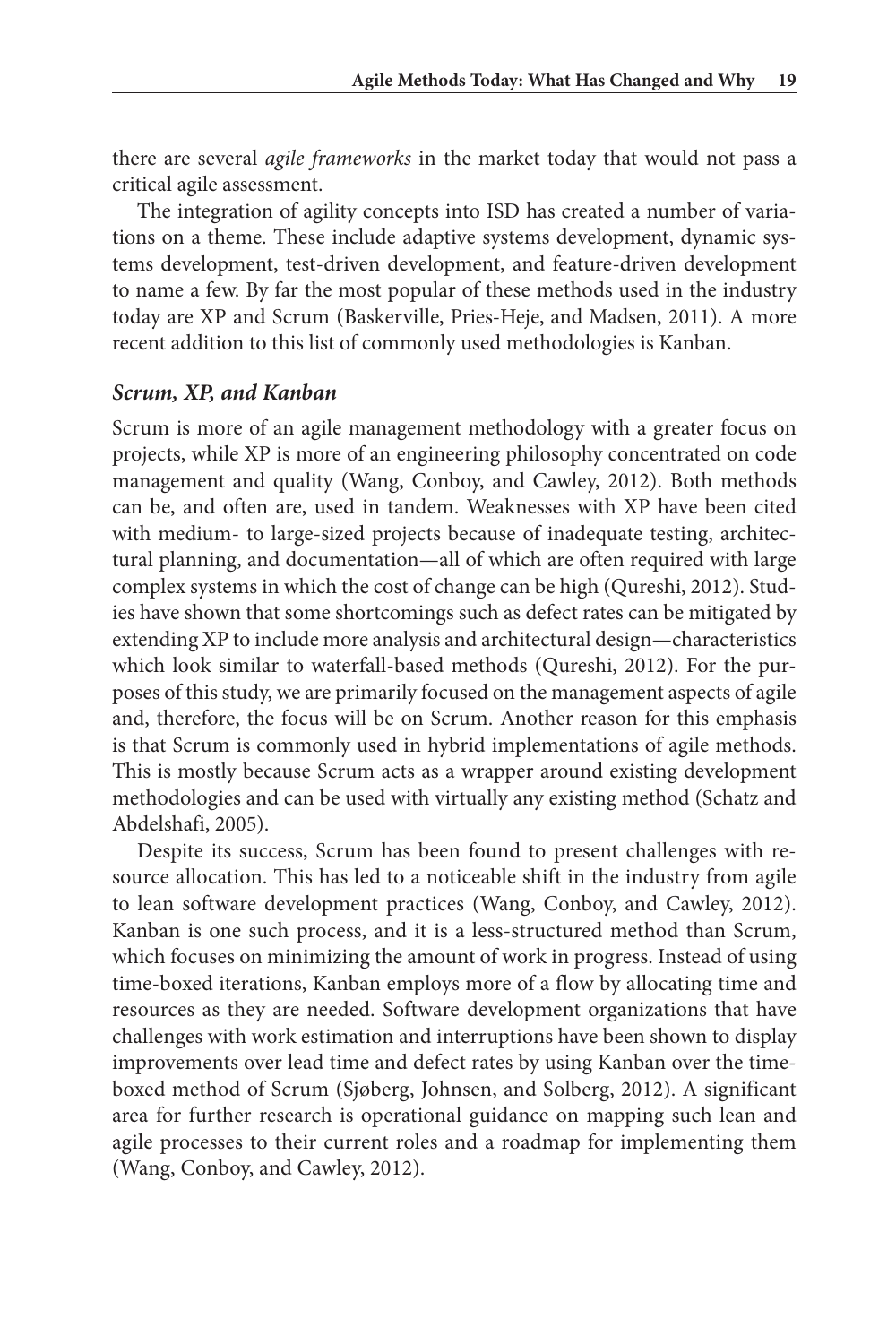there are several *agile frameworks* in the market today that would not pass a critical agile assessment.

The integration of agility concepts into ISD has created a number of variations on a theme. These include adaptive systems development, dynamic systems development, test-driven development, and feature-driven development to name a few. By far the most popular of these methods used in the industry today are XP and Scrum (Baskerville, Pries-Heje, and Madsen, 2011). A more recent addition to this list of commonly used methodologies is Kanban.

#### *Scrum, XP, and Kanban*

Scrum is more of an agile management methodology with a greater focus on projects, while XP is more of an engineering philosophy concentrated on code management and quality (Wang, Conboy, and Cawley, 2012). Both methods can be, and often are, used in tandem. Weaknesses with XP have been cited with medium- to large-sized projects because of inadequate testing, architectural planning, and documentation—all of which are often required with large complex systems in which the cost of change can be high (Qureshi, 2012). Studies have shown that some shortcomings such as defect rates can be mitigated by extending XP to include more analysis and architectural design—characteristics which look similar to waterfall-based methods (Qureshi, 2012). For the purposes of this study, we are primarily focused on the management aspects of agile and, therefore, the focus will be on Scrum. Another reason for this emphasis is that Scrum is commonly used in hybrid implementations of agile methods. This is mostly because Scrum acts as a wrapper around existing development methodologies and can be used with virtually any existing method (Schatz and Abdelshafi, 2005).

Despite its success, Scrum has been found to present challenges with resource allocation. This has led to a noticeable shift in the industry from agile to lean software development practices (Wang, Conboy, and Cawley, 2012). Kanban is one such process, and it is a less-structured method than Scrum, which focuses on minimizing the amount of work in progress. Instead of using time-boxed iterations, Kanban employs more of a flow by allocating time and resources as they are needed. Software development organizations that have challenges with work estimation and interruptions have been shown to display improvements over lead time and defect rates by using Kanban over the timeboxed method of Scrum (Sjøberg, Johnsen, and Solberg, 2012). A significant area for further research is operational guidance on mapping such lean and agile processes to their current roles and a roadmap for implementing them (Wang, Conboy, and Cawley, 2012).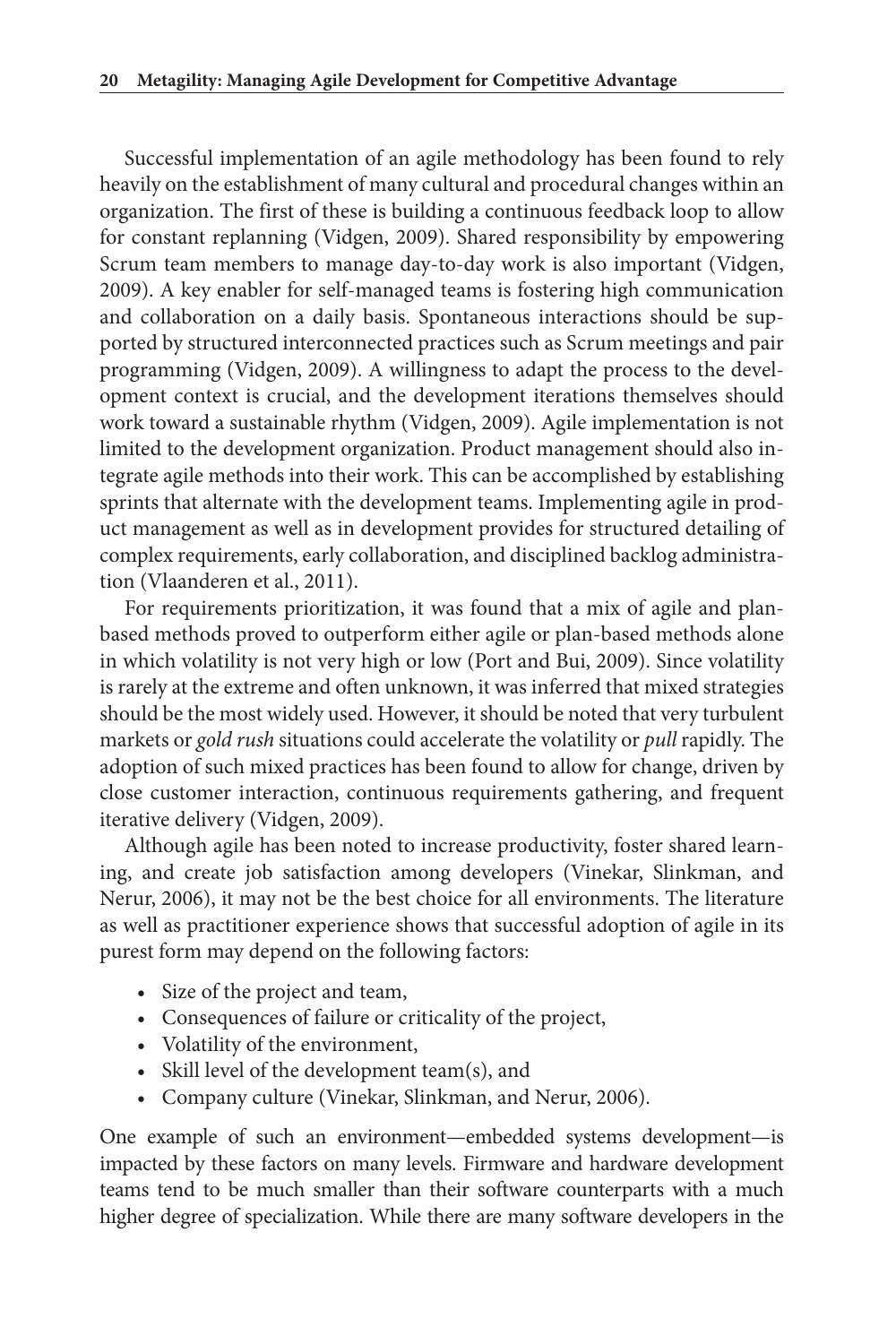Successful implementation of an agile methodology has been found to rely heavily on the establishment of many cultural and procedural changes within an organization. The first of these is building a continuous feedback loop to allow for constant replanning (Vidgen, 2009). Shared responsibility by empowering Scrum team members to manage day-to-day work is also important (Vidgen, 2009). A key enabler for self-managed teams is fostering high communication and collaboration on a daily basis. Spontaneous interactions should be supported by structured interconnected practices such as Scrum meetings and pair programming (Vidgen, 2009). A willingness to adapt the process to the development context is crucial, and the development iterations themselves should work toward a sustainable rhythm (Vidgen, 2009). Agile implementation is not limited to the development organization. Product management should also integrate agile methods into their work. This can be accomplished by establishing sprints that alternate with the development teams. Implementing agile in product management as well as in development provides for structured detailing of complex requirements, early collaboration, and disciplined backlog administration (Vlaanderen et al., 2011).

For requirements prioritization, it was found that a mix of agile and planbased methods proved to outperform either agile or plan-based methods alone in which volatility is not very high or low (Port and Bui, 2009). Since volatility is rarely at the extreme and often unknown, it was inferred that mixed strategies should be the most widely used. However, it should be noted that very turbulent markets or *gold rush* situations could accelerate the volatility or *pull* rapidly. The adoption of such mixed practices has been found to allow for change, driven by close customer interaction, continuous requirements gathering, and frequent iterative delivery (Vidgen, 2009).

Although agile has been noted to increase productivity, foster shared learning, and create job satisfaction among developers (Vinekar, Slinkman, and Nerur, 2006), it may not be the best choice for all environments. The literature as well as practitioner experience shows that successful adoption of agile in its purest form may depend on the following factors:

- Size of the project and team,
- Consequences of failure or criticality of the project,
- Volatility of the environment,
- Skill level of the development team(s), and
- Company culture (Vinekar, Slinkman, and Nerur, 2006).

One example of such an environment—embedded systems development—is impacted by these factors on many levels. Firmware and hardware development teams tend to be much smaller than their software counterparts with a much higher degree of specialization. While there are many software developers in the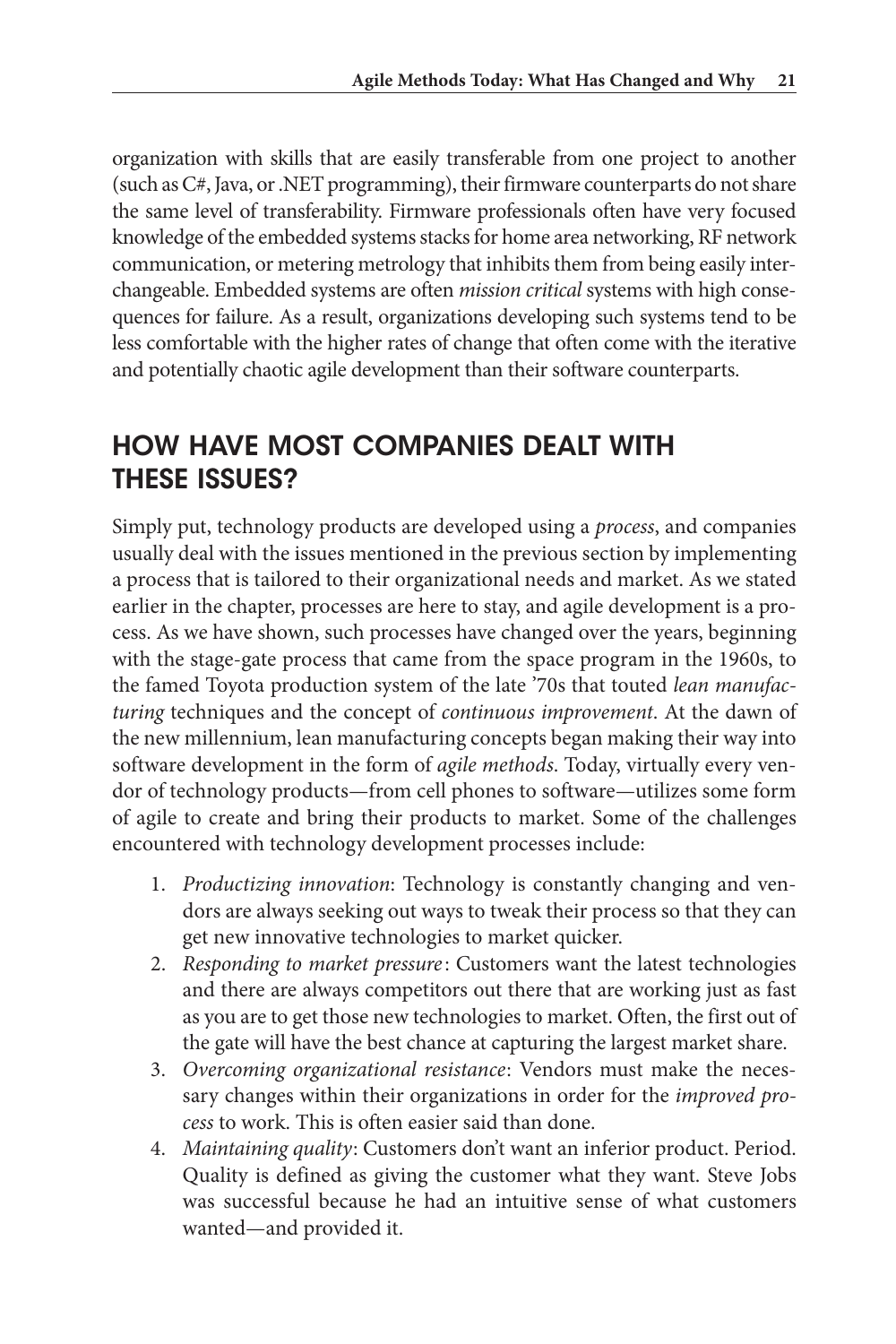organization with skills that are easily transferable from one project to another (such as C#, Java, or .NET programming), their firmware counterparts do not share the same level of transferability. Firmware professionals often have very focused knowledge of the embedded systems stacks for home area networking, RF network communication, or metering metrology that inhibits them from being easily interchangeable. Embedded systems are often *mission critical* systems with high consequences for failure. As a result, organizations developing such systems tend to be less comfortable with the higher rates of change that often come with the iterative and potentially chaotic agile development than their software counterparts.

#### HOW HAVE MOST COMPANIES DEALT WITH THESE ISSUES?

Simply put, technology products are developed using a *process*, and companies usually deal with the issues mentioned in the previous section by implementing a process that is tailored to their organizational needs and market. As we stated earlier in the chapter, processes are here to stay, and agile development is a process. As we have shown, such processes have changed over the years, beginning with the stage-gate process that came from the space program in the 1960s, to the famed Toyota production system of the late '70s that touted *lean manufacturing* techniques and the concept of *continuous improvement*. At the dawn of the new millennium, lean manufacturing concepts began making their way into software development in the form of *agile methods*. Today, virtually every vendor of technology products—from cell phones to software—utilizes some form of agile to create and bring their products to market. Some of the challenges encountered with technology development processes include:

- 1. *Productizing innovation*: Technology is constantly changing and vendors are always seeking out ways to tweak their process so that they can get new innovative technologies to market quicker.
- 2. *Responding to market pressure*: Customers want the latest technologies and there are always competitors out there that are working just as fast as you are to get those new technologies to market. Often, the first out of the gate will have the best chance at capturing the largest market share.
- 3. *Overcoming organizational resistance*: Vendors must make the necessary changes within their organizations in order for the *improved process* to work. This is often easier said than done.
- 4. *Maintaining quality*: Customers don't want an inferior product. Period. Quality is defined as giving the customer what they want. Steve Jobs was successful because he had an intuitive sense of what customers wanted—and provided it.